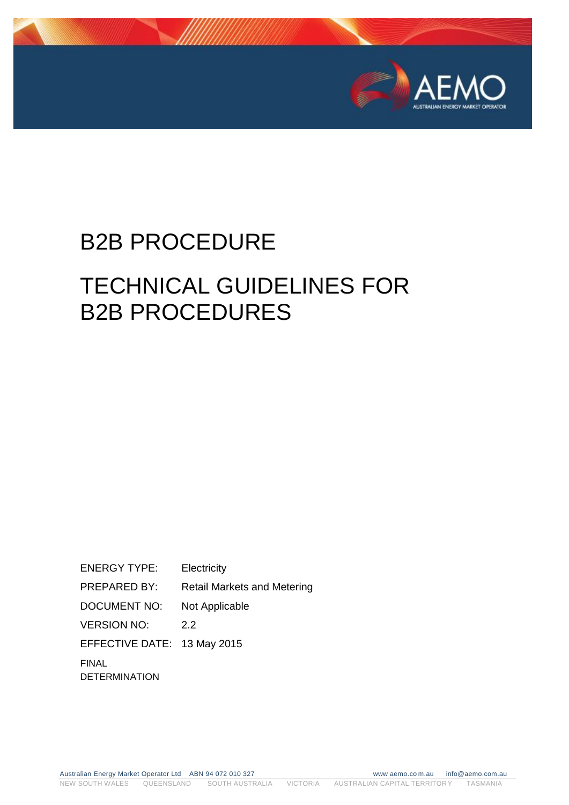

# B2B PROCEDURE

## TECHNICAL GUIDELINES FOR B2B PROCEDURES

ENERGY TYPE: Electricity PREPARED BY: Retail Markets and Metering DOCUMENT NO: Not Applicable VERSION NO: 2.2 EFFECTIVE DATE: 13 May 2015 FINAL DETERMINATION

Australian Energy Market Operator Ltd ABN 94 072 010 327 www aemo.co m.au info@aemo.com.au NEW SOUTH WALES QUEENSLAND SOUTH AUSTRALIA VICTORIA AUSTRALIAN CAPITAL TERRITORY TASMANIA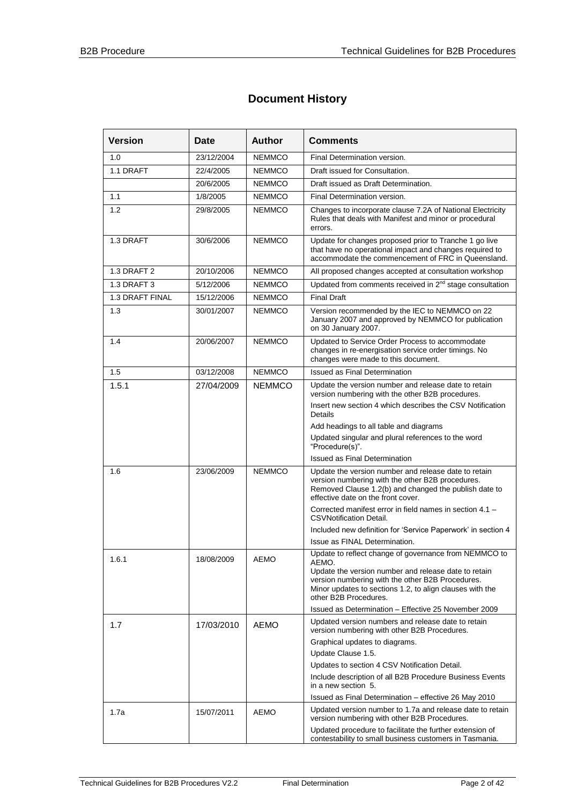#### **Document History**

| <b>Version</b>  | Date       | <b>Author</b> | <b>Comments</b>                                                                                                                                                                                         |  |
|-----------------|------------|---------------|---------------------------------------------------------------------------------------------------------------------------------------------------------------------------------------------------------|--|
| 1.0             | 23/12/2004 | <b>NEMMCO</b> | Final Determination version.                                                                                                                                                                            |  |
| 1.1 DRAFT       | 22/4/2005  | <b>NEMMCO</b> | Draft issued for Consultation.                                                                                                                                                                          |  |
|                 | 20/6/2005  | <b>NEMMCO</b> | Draft issued as Draft Determination.                                                                                                                                                                    |  |
| 1.1             | 1/8/2005   | <b>NEMMCO</b> | Final Determination version.                                                                                                                                                                            |  |
| 1.2             | 29/8/2005  | <b>NEMMCO</b> | Changes to incorporate clause 7.2A of National Electricity<br>Rules that deals with Manifest and minor or procedural<br>errors.                                                                         |  |
| 1.3 DRAFT       | 30/6/2006  | <b>NEMMCO</b> | Update for changes proposed prior to Tranche 1 go live<br>that have no operational impact and changes required to<br>accommodate the commencement of FRC in Queensland.                                 |  |
| 1.3 DRAFT 2     | 20/10/2006 | <b>NEMMCO</b> | All proposed changes accepted at consultation workshop                                                                                                                                                  |  |
| 1.3 DRAFT 3     | 5/12/2006  | <b>NEMMCO</b> | Updated from comments received in 2 <sup>nd</sup> stage consultation                                                                                                                                    |  |
| 1.3 DRAFT FINAL | 15/12/2006 | <b>NEMMCO</b> | <b>Final Draft</b>                                                                                                                                                                                      |  |
| 1.3             | 30/01/2007 | <b>NEMMCO</b> | Version recommended by the IEC to NEMMCO on 22<br>January 2007 and approved by NEMMCO for publication<br>on 30 January 2007.                                                                            |  |
| 1.4             | 20/06/2007 | <b>NEMMCO</b> | Updated to Service Order Process to accommodate<br>changes in re-energisation service order timings. No<br>changes were made to this document.                                                          |  |
| 1.5             | 03/12/2008 | <b>NEMMCO</b> | <b>Issued as Final Determination</b>                                                                                                                                                                    |  |
| 1.5.1           | 27/04/2009 | <b>NEMMCO</b> | Update the version number and release date to retain<br>version numbering with the other B2B procedures.                                                                                                |  |
|                 |            |               | Insert new section 4 which describes the CSV Notification<br>Details                                                                                                                                    |  |
|                 |            |               | Add headings to all table and diagrams                                                                                                                                                                  |  |
|                 |            |               | Updated singular and plural references to the word<br>"Procedure(s)".                                                                                                                                   |  |
|                 |            |               | <b>Issued as Final Determination</b>                                                                                                                                                                    |  |
| 1.6             | 23/06/2009 | <b>NEMMCO</b> | Update the version number and release date to retain<br>version numbering with the other B2B procedures.<br>Removed Clause 1.2(b) and changed the publish date to<br>effective date on the front cover. |  |
|                 |            |               | Corrected manifest error in field names in section 4.1 -<br><b>CSVNotification Detail.</b>                                                                                                              |  |
|                 |            |               | Included new definition for 'Service Paperwork' in section 4                                                                                                                                            |  |
|                 |            |               | Issue as FINAL Determination.                                                                                                                                                                           |  |
| 1.6.1           | 18/08/2009 | <b>AEMO</b>   | Update to reflect change of governance from NEMMCO to<br>AEMO.                                                                                                                                          |  |
|                 |            |               | Update the version number and release date to retain<br>version numbering with the other B2B Procedures.<br>Minor updates to sections 1.2, to align clauses with the<br>other B2B Procedures.           |  |
|                 |            |               | Issued as Determination - Effective 25 November 2009                                                                                                                                                    |  |
| 1.7             | 17/03/2010 | <b>AEMO</b>   | Updated version numbers and release date to retain<br>version numbering with other B2B Procedures.                                                                                                      |  |
|                 |            |               | Graphical updates to diagrams.                                                                                                                                                                          |  |
|                 |            |               | Update Clause 1.5.                                                                                                                                                                                      |  |
|                 |            |               | Updates to section 4 CSV Notification Detail.                                                                                                                                                           |  |
|                 |            |               | Include description of all B2B Procedure Business Events<br>in a new section 5.                                                                                                                         |  |
|                 |            |               | Issued as Final Determination - effective 26 May 2010                                                                                                                                                   |  |
| 1.7a            | 15/07/2011 | <b>AEMO</b>   | Updated version number to 1.7a and release date to retain<br>version numbering with other B2B Procedures.                                                                                               |  |
|                 |            |               | Updated procedure to facilitate the further extension of<br>contestability to small business customers in Tasmania.                                                                                     |  |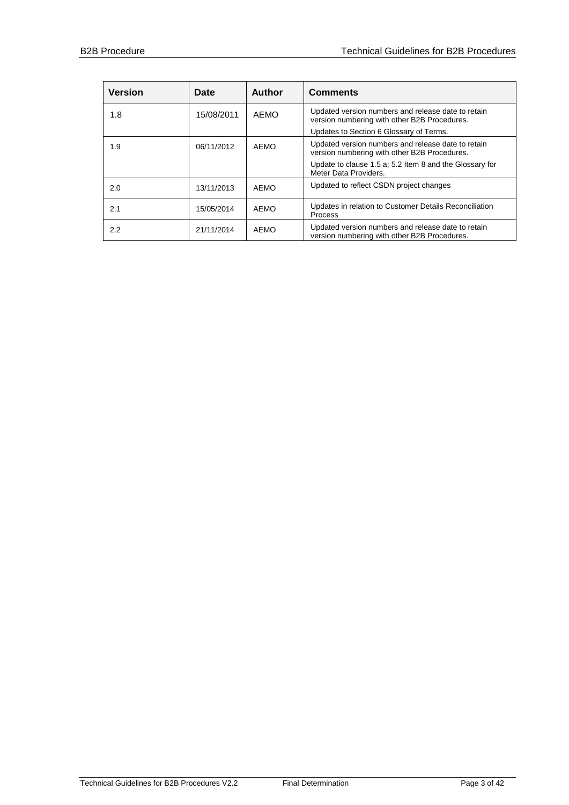| <b>Version</b> | Date       | <b>Author</b> | <b>Comments</b>                                                                                                                                                                        |
|----------------|------------|---------------|----------------------------------------------------------------------------------------------------------------------------------------------------------------------------------------|
| 1.8            | 15/08/2011 | AFMO          | Updated version numbers and release date to retain<br>version numbering with other B2B Procedures.<br>Updates to Section 6 Glossary of Terms.                                          |
| 1.9            | 06/11/2012 | <b>AEMO</b>   | Updated version numbers and release date to retain<br>version numbering with other B2B Procedures.<br>Update to clause 1.5 a; 5.2 Item 8 and the Glossary for<br>Meter Data Providers. |
| 2.0            | 13/11/2013 | <b>AEMO</b>   | Updated to reflect CSDN project changes                                                                                                                                                |
| 2.1            | 15/05/2014 | AEMO          | Updates in relation to Customer Details Reconciliation<br>Process                                                                                                                      |
| $2.2^{\circ}$  | 21/11/2014 | AEMO          | Updated version numbers and release date to retain<br>version numbering with other B2B Procedures.                                                                                     |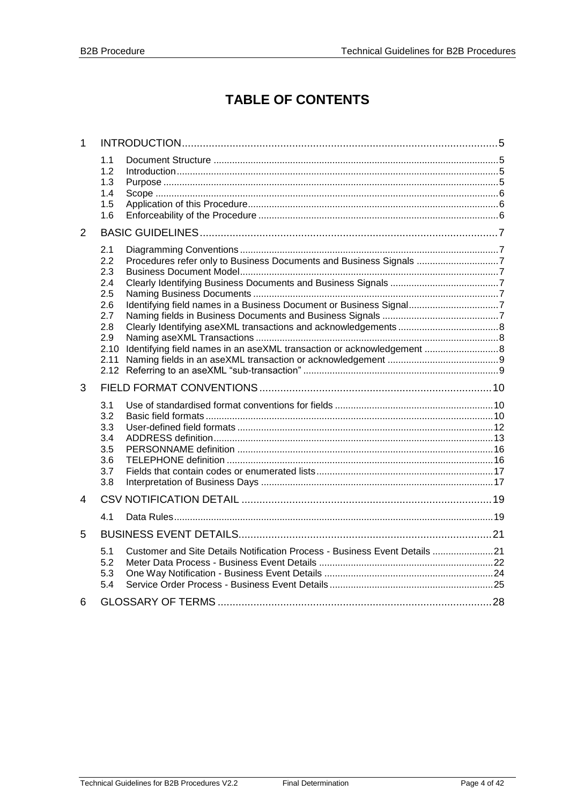## **TABLE OF CONTENTS**

| 1 |                                                      |                                                                            |  |
|---|------------------------------------------------------|----------------------------------------------------------------------------|--|
|   | 1.1<br>1.2<br>1.3<br>1.4<br>1.5<br>1.6               |                                                                            |  |
| 2 |                                                      |                                                                            |  |
|   | 2.1<br>2.2<br>2.3<br>2.4<br>2.5                      | Procedures refer only to Business Documents and Business Signals 7         |  |
|   | 2.6<br>2.7<br>2.8<br>2.9<br>2.10<br>2.11             | Identifying field names in an aseXML transaction or acknowledgement  8     |  |
| 3 |                                                      |                                                                            |  |
|   | 3.1<br>3.2<br>3.3<br>3.4<br>3.5<br>3.6<br>3.7<br>3.8 |                                                                            |  |
| 4 |                                                      |                                                                            |  |
|   | 4.1                                                  |                                                                            |  |
| 5 |                                                      |                                                                            |  |
|   | 5.1<br>5.2<br>5.3<br>5.4                             | Customer and Site Details Notification Process - Business Event Details 21 |  |
| 6 |                                                      |                                                                            |  |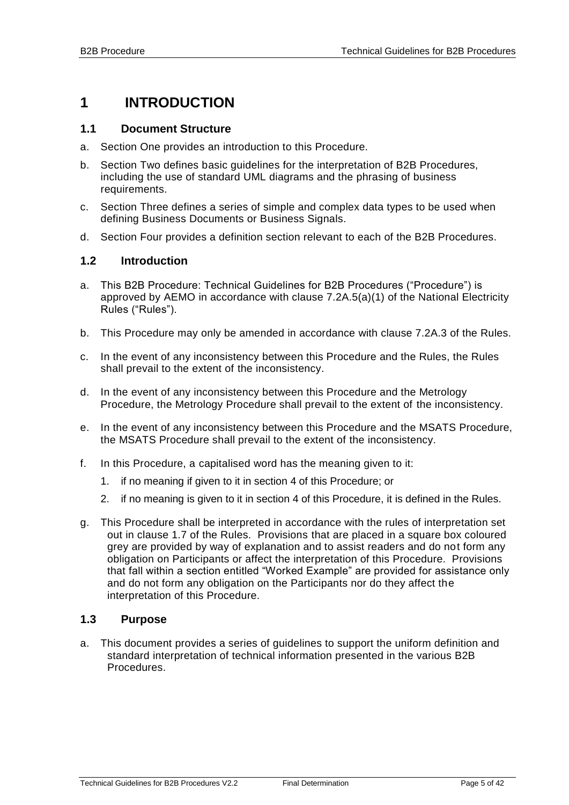### <span id="page-4-0"></span>**1 INTRODUCTION**

#### <span id="page-4-1"></span>**1.1 Document Structure**

- a. Section One provides an introduction to this Procedure.
- b. Section Two defines basic guidelines for the interpretation of B2B Procedures, including the use of standard UML diagrams and the phrasing of business requirements.
- c. Section Three defines a series of simple and complex data types to be used when defining Business Documents or Business Signals.
- d. Section Four provides a definition section relevant to each of the B2B Procedures.

#### <span id="page-4-2"></span>**1.2 Introduction**

- a. This B2B Procedure: Technical Guidelines for B2B Procedures ("Procedure") is approved by AEMO in accordance with clause 7.2A.5(a)(1) of the National Electricity Rules ("Rules").
- b. This Procedure may only be amended in accordance with clause 7.2A.3 of the Rules.
- c. In the event of any inconsistency between this Procedure and the Rules, the Rules shall prevail to the extent of the inconsistency.
- d. In the event of any inconsistency between this Procedure and the Metrology Procedure, the Metrology Procedure shall prevail to the extent of the inconsistency.
- e. In the event of any inconsistency between this Procedure and the MSATS Procedure, the MSATS Procedure shall prevail to the extent of the inconsistency.
- f. In this Procedure, a capitalised word has the meaning given to it:
	- 1. if no meaning if given to it in section 4 of this Procedure; or
	- 2. if no meaning is given to it in section 4 of this Procedure, it is defined in the Rules.
- g. This Procedure shall be interpreted in accordance with the rules of interpretation set out in clause 1.7 of the Rules. Provisions that are placed in a square box coloured grey are provided by way of explanation and to assist readers and do not form any obligation on Participants or affect the interpretation of this Procedure. Provisions that fall within a section entitled "Worked Example" are provided for assistance only and do not form any obligation on the Participants nor do they affect the interpretation of this Procedure.

#### <span id="page-4-3"></span>**1.3 Purpose**

a. This document provides a series of guidelines to support the uniform definition and standard interpretation of technical information presented in the various B2B Procedures.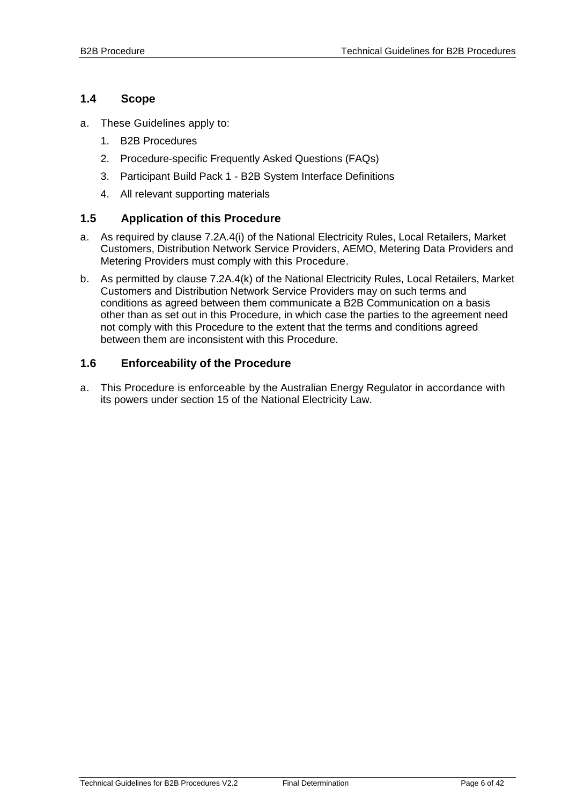#### <span id="page-5-0"></span>**1.4 Scope**

- a. These Guidelines apply to:
	- 1. B2B Procedures
	- 2. Procedure-specific Frequently Asked Questions (FAQs)
	- 3. Participant Build Pack 1 B2B System Interface Definitions
	- 4. All relevant supporting materials

#### <span id="page-5-1"></span>**1.5 Application of this Procedure**

- a. As required by clause 7.2A.4(i) of the National Electricity Rules, Local Retailers, Market Customers, Distribution Network Service Providers, AEMO, Metering Data Providers and Metering Providers must comply with this Procedure.
- b. As permitted by clause 7.2A.4(k) of the National Electricity Rules, Local Retailers, Market Customers and Distribution Network Service Providers may on such terms and conditions as agreed between them communicate a B2B Communication on a basis other than as set out in this Procedure, in which case the parties to the agreement need not comply with this Procedure to the extent that the terms and conditions agreed between them are inconsistent with this Procedure.

#### <span id="page-5-2"></span>**1.6 Enforceability of the Procedure**

a. This Procedure is enforceable by the Australian Energy Regulator in accordance with its powers under section 15 of the National Electricity Law.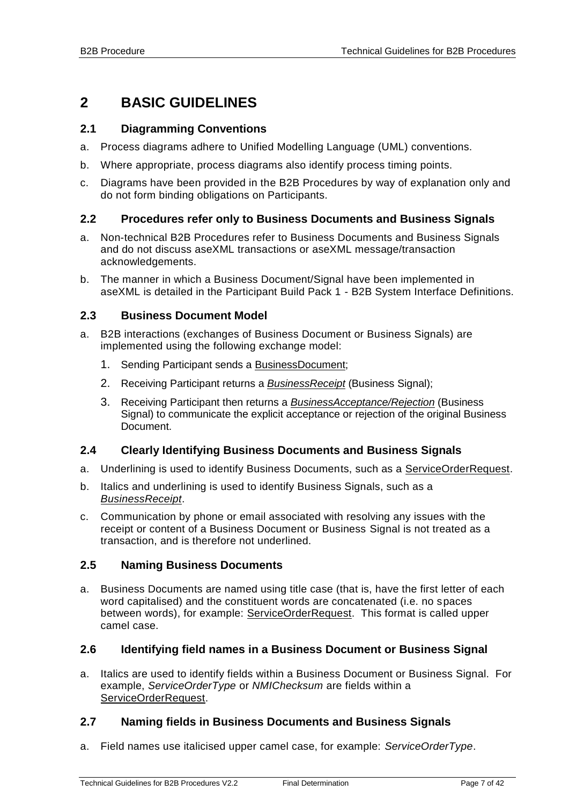## <span id="page-6-0"></span>**2 BASIC GUIDELINES**

#### <span id="page-6-1"></span>**2.1 Diagramming Conventions**

- a. Process diagrams adhere to Unified Modelling Language (UML) conventions.
- b. Where appropriate, process diagrams also identify process timing points.
- c. Diagrams have been provided in the B2B Procedures by way of explanation only and do not form binding obligations on Participants.

#### <span id="page-6-2"></span>**2.2 Procedures refer only to Business Documents and Business Signals**

- a. Non-technical B2B Procedures refer to Business Documents and Business Signals and do not discuss aseXML transactions or aseXML message/transaction acknowledgements.
- b. The manner in which a Business Document/Signal have been implemented in aseXML is detailed in the Participant Build Pack 1 - B2B System Interface Definitions.

#### <span id="page-6-3"></span>**2.3 Business Document Model**

- a. B2B interactions (exchanges of Business Document or Business Signals) are implemented using the following exchange model:
	- 1. Sending Participant sends a BusinessDocument;
	- 2. Receiving Participant returns a *BusinessReceipt* (Business Signal);
	- 3. Receiving Participant then returns a *BusinessAcceptance/Rejection* (Business Signal) to communicate the explicit acceptance or rejection of the original Business Document.

#### <span id="page-6-4"></span>**2.4 Clearly Identifying Business Documents and Business Signals**

- a. Underlining is used to identify Business Documents, such as a ServiceOrderRequest.
- b. Italics and underlining is used to identify Business Signals, such as a *BusinessReceipt*.
- c. Communication by phone or email associated with resolving any issues with the receipt or content of a Business Document or Business Signal is not treated as a transaction, and is therefore not underlined.

#### <span id="page-6-5"></span>**2.5 Naming Business Documents**

a. Business Documents are named using title case (that is, have the first letter of each word capitalised) and the constituent words are concatenated (i.e. no spaces between words), for example: ServiceOrderRequest. This format is called upper camel case.

#### <span id="page-6-6"></span>**2.6 Identifying field names in a Business Document or Business Signal**

a. Italics are used to identify fields within a Business Document or Business Signal. For example, *ServiceOrderType* or *NMIChecksum* are fields within a ServiceOrderRequest.

#### <span id="page-6-7"></span>**2.7 Naming fields in Business Documents and Business Signals**

a. Field names use italicised upper camel case, for example: *ServiceOrderType*.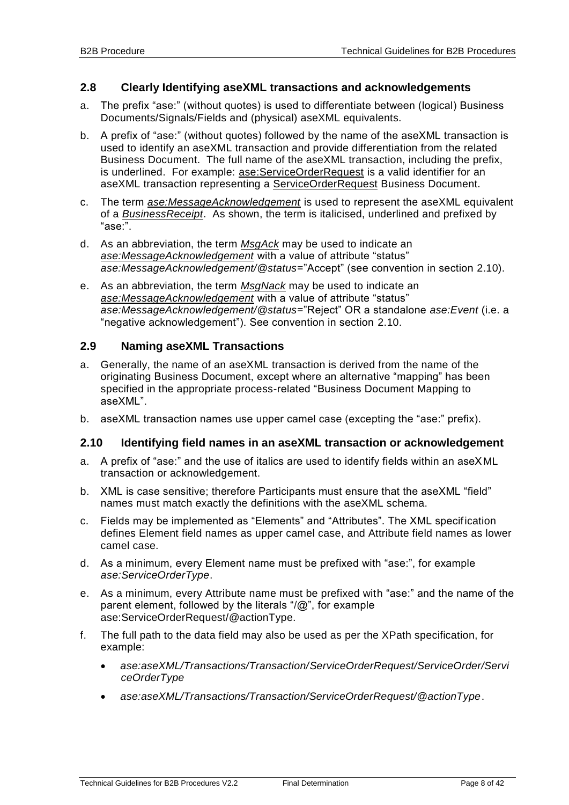#### <span id="page-7-0"></span>**2.8 Clearly Identifying aseXML transactions and acknowledgements**

- a. The prefix "ase:" (without quotes) is used to differentiate between (logical) Business Documents/Signals/Fields and (physical) aseXML equivalents.
- b. A prefix of "ase:" (without quotes) followed by the name of the aseXML transaction is used to identify an aseXML transaction and provide differentiation from the related Business Document. The full name of the aseXML transaction, including the prefix, is underlined. For example: ase: Service Order Request is a valid identifier for an aseXML transaction representing a ServiceOrderRequest Business Document.
- c. The term *ase:MessageAcknowledgement* is used to represent the aseXML equivalent of a *BusinessReceipt*. As shown, the term is italicised, underlined and prefixed by "ase:".
- d. As an abbreviation, the term *MsgAck* may be used to indicate an *ase:MessageAcknowledgement* with a value of attribute "status" *ase:MessageAcknowledgement/@status*="Accept" (see convention in section [2.10\)](#page-7-2).
- e. As an abbreviation, the term *MsgNack* may be used to indicate an *ase:MessageAcknowledgement* with a value of attribute "status" *ase:MessageAcknowledgement/@status*="Reject" OR a standalone *ase:Event* (i.e. a "negative acknowledgement"). See convention in section [2.10.](#page-7-2)

#### <span id="page-7-1"></span>**2.9 Naming aseXML Transactions**

- a. Generally, the name of an aseXML transaction is derived from the name of the originating Business Document, except where an alternative "mapping" has been specified in the appropriate process-related "Business Document Mapping to aseXML".
- b. aseXML transaction names use upper camel case (excepting the "ase:" prefix).

#### <span id="page-7-2"></span>**2.10 Identifying field names in an aseXML transaction or acknowledgement**

- a. A prefix of "ase:" and the use of italics are used to identify fields within an aseXML transaction or acknowledgement.
- b. XML is case sensitive; therefore Participants must ensure that the aseXML "field" names must match exactly the definitions with the aseXML schema.
- c. Fields may be implemented as "Elements" and "Attributes". The XML specification defines Element field names as upper camel case, and Attribute field names as lower camel case.
- d. As a minimum, every Element name must be prefixed with "ase:", for example *ase:ServiceOrderType*.
- e. As a minimum, every Attribute name must be prefixed with "ase:" and the name of the parent element, followed by the literals "/@", for example ase:ServiceOrderRequest/@actionType.
- f. The full path to the data field may also be used as per the XPath specification, for example:
	- *ase:aseXML/Transactions/Transaction/ServiceOrderRequest/ServiceOrder/Servi ceOrderType*
	- *ase:aseXML/Transactions/Transaction/ServiceOrderRequest/@actionType*.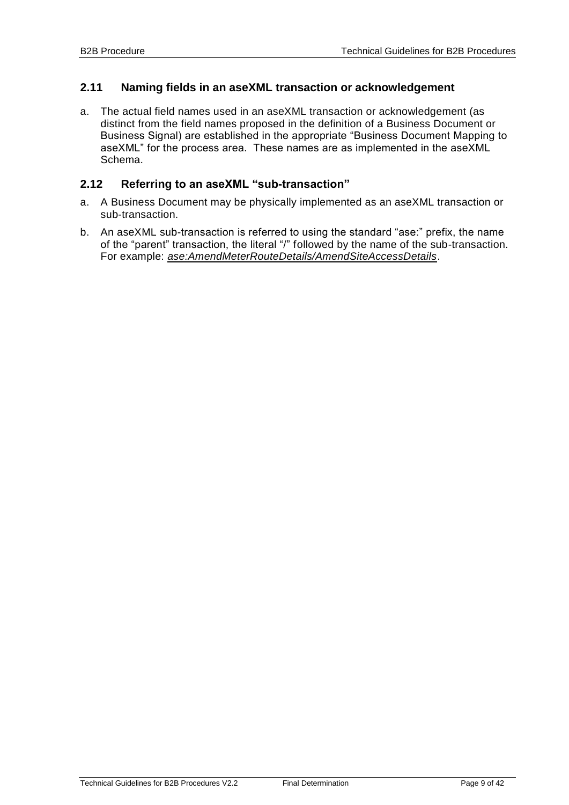#### <span id="page-8-0"></span>**2.11 Naming fields in an aseXML transaction or acknowledgement**

a. The actual field names used in an aseXML transaction or acknowledgement (as distinct from the field names proposed in the definition of a Business Document or Business Signal) are established in the appropriate "Business Document Mapping to aseXML" for the process area. These names are as implemented in the aseXML Schema.

#### <span id="page-8-1"></span>**2.12 Referring to an aseXML "sub-transaction"**

- a. A Business Document may be physically implemented as an aseXML transaction or sub-transaction.
- b. An aseXML sub-transaction is referred to using the standard "ase:" prefix, the name of the "parent" transaction, the literal "/" followed by the name of the sub-transaction. For example: *ase:AmendMeterRouteDetails/AmendSiteAccessDetails*.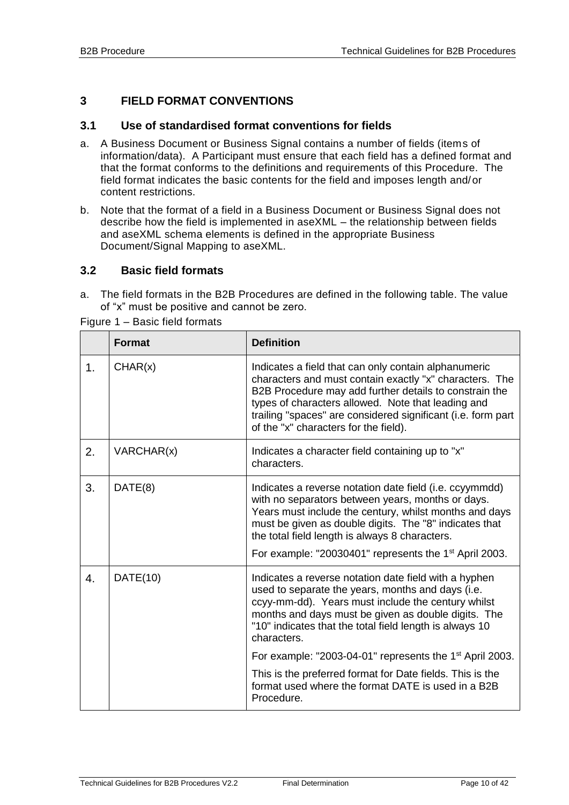#### <span id="page-9-0"></span>**3 FIELD FORMAT CONVENTIONS**

#### <span id="page-9-1"></span>**3.1 Use of standardised format conventions for fields**

- a. A Business Document or Business Signal contains a number of fields (items of information/data). A Participant must ensure that each field has a defined format and that the format conforms to the definitions and requirements of this Procedure. The field format indicates the basic contents for the field and imposes length and/or content restrictions.
- b. Note that the format of a field in a Business Document or Business Signal does not describe how the field is implemented in aseXML – the relationship between fields and aseXML schema elements is defined in the appropriate Business Document/Signal Mapping to aseXML.

#### <span id="page-9-2"></span>**3.2 Basic field formats**

a. The field formats in the B2B Procedures are defined in the following table. The value of "x" must be positive and cannot be zero.

|               | <b>Format</b> | <b>Definition</b>                                                                                                                                                                                                                                                                                                                                        |
|---------------|---------------|----------------------------------------------------------------------------------------------------------------------------------------------------------------------------------------------------------------------------------------------------------------------------------------------------------------------------------------------------------|
| $\mathbf 1$ . | CHAR(x)       | Indicates a field that can only contain alphanumeric<br>characters and must contain exactly "x" characters. The<br>B2B Procedure may add further details to constrain the<br>types of characters allowed. Note that leading and<br>trailing "spaces" are considered significant (i.e. form part<br>of the "x" characters for the field).                 |
| 2.            | VARCHAR(x)    | Indicates a character field containing up to "x"<br>characters.                                                                                                                                                                                                                                                                                          |
| 3.            | DATE(8)       | Indicates a reverse notation date field (i.e. ccyymmdd)<br>with no separators between years, months or days.<br>Years must include the century, whilst months and days<br>must be given as double digits. The "8" indicates that<br>the total field length is always 8 characters.<br>For example: "20030401" represents the 1 <sup>st</sup> April 2003. |
| 4.            | DATE(10)      | Indicates a reverse notation date field with a hyphen<br>used to separate the years, months and days (i.e.<br>ccyy-mm-dd). Years must include the century whilst<br>months and days must be given as double digits. The<br>"10" indicates that the total field length is always 10<br>characters.                                                        |
|               |               | For example: "2003-04-01" represents the 1 <sup>st</sup> April 2003.                                                                                                                                                                                                                                                                                     |
|               |               | This is the preferred format for Date fields. This is the<br>format used where the format DATE is used in a B2B<br>Procedure.                                                                                                                                                                                                                            |

Figure 1 – Basic field formats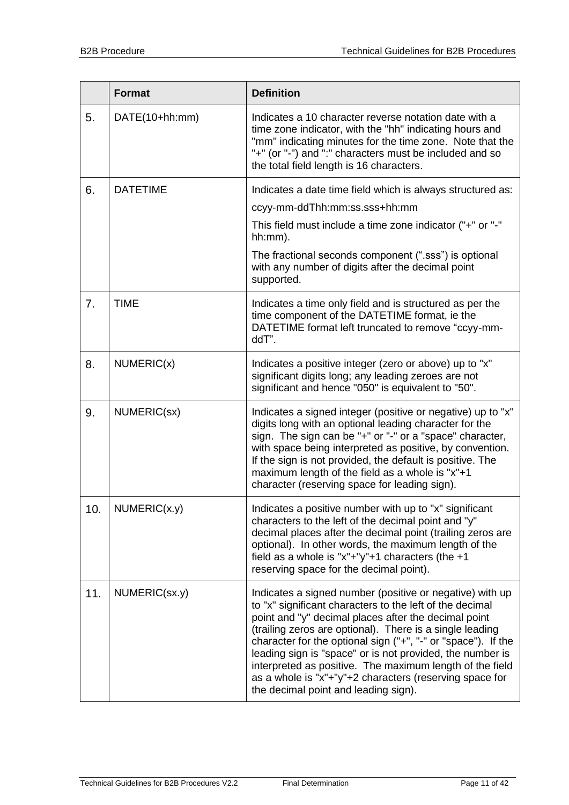|     | <b>Format</b>   | <b>Definition</b>                                                                                                                                                                                                                                                                                                                                                                                                                                                                                                                     |
|-----|-----------------|---------------------------------------------------------------------------------------------------------------------------------------------------------------------------------------------------------------------------------------------------------------------------------------------------------------------------------------------------------------------------------------------------------------------------------------------------------------------------------------------------------------------------------------|
| 5.  | DATE(10+hh:mm)  | Indicates a 10 character reverse notation date with a<br>time zone indicator, with the "hh" indicating hours and<br>"mm" indicating minutes for the time zone. Note that the<br>"+" (or "-") and ":" characters must be included and so<br>the total field length is 16 characters.                                                                                                                                                                                                                                                   |
| 6.  | <b>DATETIME</b> | Indicates a date time field which is always structured as:                                                                                                                                                                                                                                                                                                                                                                                                                                                                            |
|     |                 | ccyy-mm-ddThh:mm:ss.sss+hh:mm                                                                                                                                                                                                                                                                                                                                                                                                                                                                                                         |
|     |                 | This field must include a time zone indicator ("+" or "-"<br>hh:mm).                                                                                                                                                                                                                                                                                                                                                                                                                                                                  |
|     |                 | The fractional seconds component (".sss") is optional<br>with any number of digits after the decimal point<br>supported.                                                                                                                                                                                                                                                                                                                                                                                                              |
| 7.  | <b>TIME</b>     | Indicates a time only field and is structured as per the<br>time component of the DATETIME format, ie the<br>DATETIME format left truncated to remove "ccyy-mm-<br>ddT".                                                                                                                                                                                                                                                                                                                                                              |
| 8.  | NUMERIC(x)      | Indicates a positive integer (zero or above) up to "x"<br>significant digits long; any leading zeroes are not<br>significant and hence "050" is equivalent to "50".                                                                                                                                                                                                                                                                                                                                                                   |
| 9.  | NUMERIC(sx)     | Indicates a signed integer (positive or negative) up to "x"<br>digits long with an optional leading character for the<br>sign. The sign can be "+" or "-" or a "space" character,<br>with space being interpreted as positive, by convention.<br>If the sign is not provided, the default is positive. The<br>maximum length of the field as a whole is "x"+1<br>character (reserving space for leading sign).                                                                                                                        |
| 10. | NUMERIC(x.y)    | Indicates a positive number with up to "x" significant<br>characters to the left of the decimal point and "y"<br>decimal places after the decimal point (trailing zeros are<br>optional). In other words, the maximum length of the<br>field as a whole is "x"+"y"+1 characters (the $+1$<br>reserving space for the decimal point).                                                                                                                                                                                                  |
| 11. | NUMERIC(Sx.y)   | Indicates a signed number (positive or negative) with up<br>to "x" significant characters to the left of the decimal<br>point and "y" decimal places after the decimal point<br>(trailing zeros are optional). There is a single leading<br>character for the optional sign ("+", "-" or "space"). If the<br>leading sign is "space" or is not provided, the number is<br>interpreted as positive. The maximum length of the field<br>as a whole is "x"+"y"+2 characters (reserving space for<br>the decimal point and leading sign). |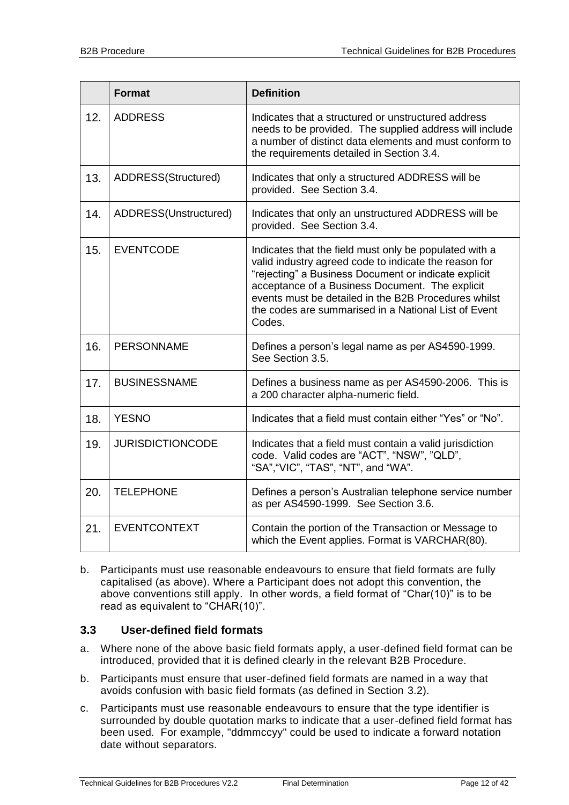|     | <b>Format</b>           | <b>Definition</b>                                                                                                                                                                                                                                                                                                                                    |
|-----|-------------------------|------------------------------------------------------------------------------------------------------------------------------------------------------------------------------------------------------------------------------------------------------------------------------------------------------------------------------------------------------|
| 12. | <b>ADDRESS</b>          | Indicates that a structured or unstructured address<br>needs to be provided. The supplied address will include<br>a number of distinct data elements and must conform to<br>the requirements detailed in Section 3.4.                                                                                                                                |
| 13. | ADDRESS(Structured)     | Indicates that only a structured ADDRESS will be<br>provided. See Section 3.4.                                                                                                                                                                                                                                                                       |
| 14. | ADDRESS(Unstructured)   | Indicates that only an unstructured ADDRESS will be<br>provided. See Section 3.4.                                                                                                                                                                                                                                                                    |
| 15. | <b>EVENTCODE</b>        | Indicates that the field must only be populated with a<br>valid industry agreed code to indicate the reason for<br>"rejecting" a Business Document or indicate explicit<br>acceptance of a Business Document. The explicit<br>events must be detailed in the B2B Procedures whilst<br>the codes are summarised in a National List of Event<br>Codes. |
| 16. | <b>PERSONNAME</b>       | Defines a person's legal name as per AS4590-1999.<br>See Section 3.5.                                                                                                                                                                                                                                                                                |
| 17. | <b>BUSINESSNAME</b>     | Defines a business name as per AS4590-2006. This is<br>a 200 character alpha-numeric field.                                                                                                                                                                                                                                                          |
| 18. | <b>YESNO</b>            | Indicates that a field must contain either "Yes" or "No".                                                                                                                                                                                                                                                                                            |
| 19. | <b>JURISDICTIONCODE</b> | Indicates that a field must contain a valid jurisdiction<br>code. Valid codes are "ACT", "NSW", "QLD",<br>"SA", "VIC", "TAS", "NT", and "WA".                                                                                                                                                                                                        |
| 20. | <b>TELEPHONE</b>        | Defines a person's Australian telephone service number<br>as per AS4590-1999. See Section 3.6.                                                                                                                                                                                                                                                       |
| 21. | <b>EVENTCONTEXT</b>     | Contain the portion of the Transaction or Message to<br>which the Event applies. Format is VARCHAR(80).                                                                                                                                                                                                                                              |

b. Participants must use reasonable endeavours to ensure that field formats are fully capitalised (as above). Where a Participant does not adopt this convention, the above conventions still apply. In other words, a field format of "Char(10)" is to be read as equivalent to "CHAR(10)".

#### <span id="page-11-0"></span>**3.3 User-defined field formats**

- a. Where none of the above basic field formats apply, a user-defined field format can be introduced, provided that it is defined clearly in the relevant B2B Procedure.
- b. Participants must ensure that user-defined field formats are named in a way that avoids confusion with basic field formats (as defined in Section [3.2\)](#page-9-2).
- c. Participants must use reasonable endeavours to ensure that the type identifier is surrounded by double quotation marks to indicate that a user-defined field format has been used. For example, "ddmmccyy" could be used to indicate a forward notation date without separators.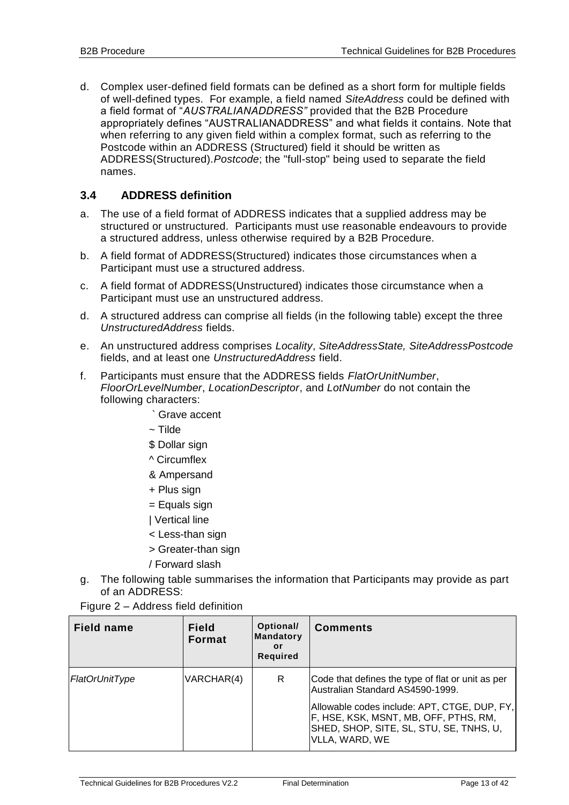d. Complex user-defined field formats can be defined as a short form for multiple fields of well-defined types. For example, a field named *SiteAddress* could be defined with a field format of "*AUSTRALIANADDRESS"* provided that the B2B Procedure appropriately defines "AUSTRALIANADDRESS" and what fields it contains. Note that when referring to any given field within a complex format, such as referring to the Postcode within an ADDRESS (Structured) field it should be written as ADDRESS(Structured).*Postcode*; the "full-stop" being used to separate the field names.

#### <span id="page-12-0"></span>**3.4 ADDRESS definition**

- a. The use of a field format of ADDRESS indicates that a supplied address may be structured or unstructured. Participants must use reasonable endeavours to provide a structured address, unless otherwise required by a B2B Procedure.
- b. A field format of ADDRESS(Structured) indicates those circumstances when a Participant must use a structured address.
- c. A field format of ADDRESS(Unstructured) indicates those circumstance when a Participant must use an unstructured address.
- d. A structured address can comprise all fields (in the following table) except the three *UnstructuredAddress* fields.
- e. An unstructured address comprises *Locality*, *SiteAddressState, SiteAddressPostcode*  fields, and at least one *UnstructuredAddress* field.
- f. Participants must ensure that the ADDRESS fields *FlatOrUnitNumber*, *FloorOrLevelNumber*, *LocationDescriptor*, and *LotNumber* do not contain the following characters:
	- ` Grave accent
	- $\sim$  Tilde
	- \$ Dollar sign
	- ^ Circumflex
	- & Ampersand
	- + Plus sign
	- = Equals sign
	- | Vertical line
	- < Less-than sign
	- > Greater-than sign
	- / Forward slash
- g. The following table summarises the information that Participants may provide as part of an ADDRESS:
- Figure 2 Address field definition

| <b>Field name</b> | <b>Field</b><br><b>Format</b> | Optional/<br><b>Mandatory</b><br>or<br><b>Required</b> | <b>Comments</b>                                                                                                                                                                                                                             |
|-------------------|-------------------------------|--------------------------------------------------------|---------------------------------------------------------------------------------------------------------------------------------------------------------------------------------------------------------------------------------------------|
| FlatOrUnitType    | VARCHAR(4)                    | R                                                      | Code that defines the type of flat or unit as per<br>Australian Standard AS4590-1999.<br>Allowable codes include: APT, CTGE, DUP, FY,<br>F, HSE, KSK, MSNT, MB, OFF, PTHS, RM,<br>SHED, SHOP, SITE, SL, STU, SE, TNHS, U,<br>VLLA, WARD, WE |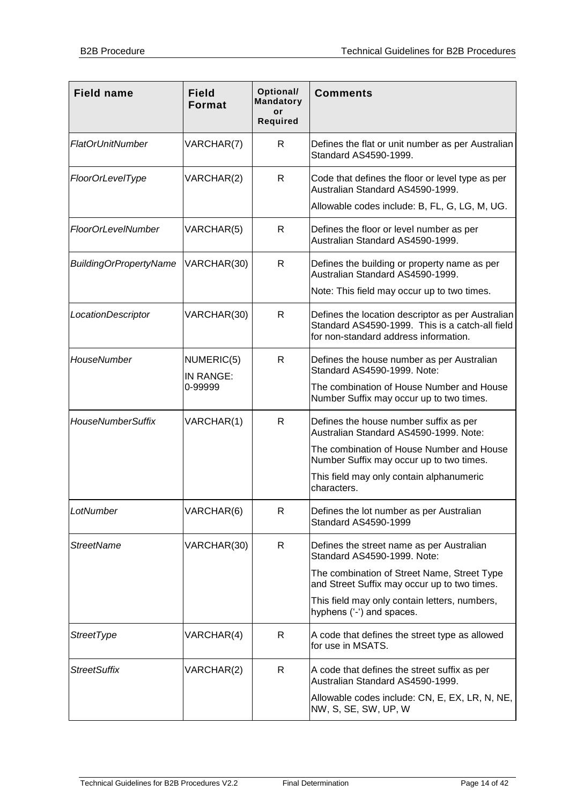| <b>Field name</b>             | <b>Field</b><br><b>Format</b>      | Optional/<br><b>Mandatory</b><br>or<br><b>Required</b> | <b>Comments</b>                                                                                                                                                                                                                                       |
|-------------------------------|------------------------------------|--------------------------------------------------------|-------------------------------------------------------------------------------------------------------------------------------------------------------------------------------------------------------------------------------------------------------|
| <b>FlatOrUnitNumber</b>       | VARCHAR(7)                         | R                                                      | Defines the flat or unit number as per Australian<br>Standard AS4590-1999.                                                                                                                                                                            |
| FloorOrLevelType              | VARCHAR(2)                         | R                                                      | Code that defines the floor or level type as per<br>Australian Standard AS4590-1999.<br>Allowable codes include: B, FL, G, LG, M, UG.                                                                                                                 |
| <b>FloorOrLevelNumber</b>     | VARCHAR(5)                         | $\mathsf{R}$                                           | Defines the floor or level number as per<br>Australian Standard AS4590-1999.                                                                                                                                                                          |
| <b>BuildingOrPropertyName</b> | VARCHAR(30)                        | $\mathsf{R}$                                           | Defines the building or property name as per<br>Australian Standard AS4590-1999.<br>Note: This field may occur up to two times.                                                                                                                       |
| LocationDescriptor            | VARCHAR(30)                        | R                                                      | Defines the location descriptor as per Australian<br>Standard AS4590-1999. This is a catch-all field<br>for non-standard address information.                                                                                                         |
| HouseNumber                   | NUMERIC(5)<br>IN RANGE:<br>0-99999 | $\mathsf{R}$                                           | Defines the house number as per Australian<br>Standard AS4590-1999. Note:<br>The combination of House Number and House<br>Number Suffix may occur up to two times.                                                                                    |
| <b>HouseNumberSuffix</b>      | VARCHAR(1)                         | $\mathsf{R}$                                           | Defines the house number suffix as per<br>Australian Standard AS4590-1999. Note:<br>The combination of House Number and House<br>Number Suffix may occur up to two times.<br>This field may only contain alphanumeric<br>characters.                  |
| LotNumber                     | VARCHAR(6)                         | R                                                      | Defines the lot number as per Australian<br>Standard AS4590-1999                                                                                                                                                                                      |
| <b>StreetName</b>             | VARCHAR(30)                        | R                                                      | Defines the street name as per Australian<br>Standard AS4590-1999. Note:<br>The combination of Street Name, Street Type<br>and Street Suffix may occur up to two times.<br>This field may only contain letters, numbers,<br>hyphens ('-') and spaces. |
| <b>StreetType</b>             | VARCHAR(4)                         | R                                                      | A code that defines the street type as allowed<br>for use in MSATS.                                                                                                                                                                                   |
| <b>StreetSuffix</b>           | VARCHAR(2)                         | R                                                      | A code that defines the street suffix as per<br>Australian Standard AS4590-1999.<br>Allowable codes include: CN, E, EX, LR, N, NE,<br>NW, S, SE, SW, UP, W                                                                                            |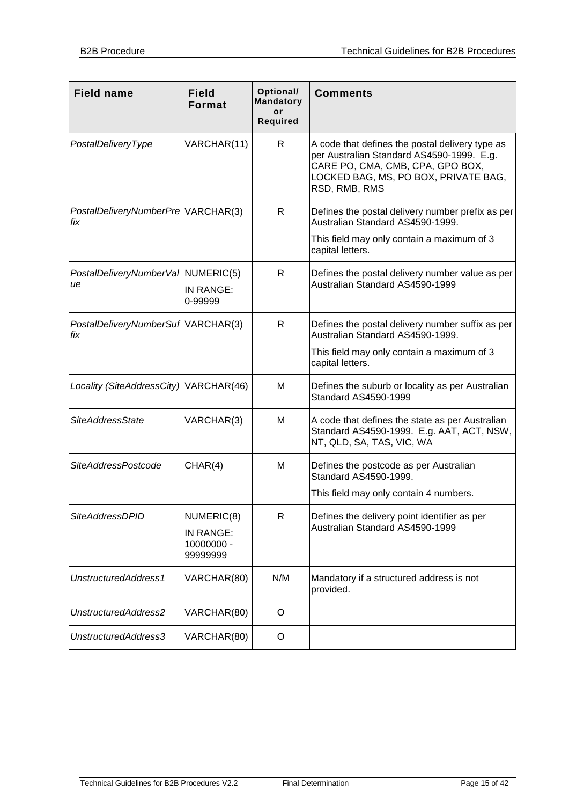| <b>Field name</b>                         | <b>Field</b><br>Format                            | Optional/<br><b>Mandatory</b><br>or<br><b>Required</b> | <b>Comments</b>                                                                                                                                                                           |
|-------------------------------------------|---------------------------------------------------|--------------------------------------------------------|-------------------------------------------------------------------------------------------------------------------------------------------------------------------------------------------|
| PostalDeliveryType                        | VARCHAR(11)                                       | R                                                      | A code that defines the postal delivery type as<br>per Australian Standard AS4590-1999. E.g.<br>CARE PO, CMA, CMB, CPA, GPO BOX,<br>LOCKED BAG, MS, PO BOX, PRIVATE BAG,<br>RSD, RMB, RMS |
| PostalDeliveryNumberPre VARCHAR(3)<br>fix |                                                   | R.                                                     | Defines the postal delivery number prefix as per<br>Australian Standard AS4590-1999.                                                                                                      |
|                                           |                                                   |                                                        | This field may only contain a maximum of 3<br>capital letters.                                                                                                                            |
| PostalDeliveryNumberVal NUMERIC(5)<br>ue  | IN RANGE:<br>0-99999                              | R                                                      | Defines the postal delivery number value as per<br>Australian Standard AS4590-1999                                                                                                        |
| PostalDeliveryNumberSuf VARCHAR(3)<br>fix |                                                   | R                                                      | Defines the postal delivery number suffix as per<br>Australian Standard AS4590-1999.                                                                                                      |
|                                           |                                                   |                                                        | This field may only contain a maximum of 3<br>capital letters.                                                                                                                            |
| Locality (SiteAddressCity) VARCHAR(46)    |                                                   | м                                                      | Defines the suburb or locality as per Australian<br>Standard AS4590-1999                                                                                                                  |
| <b>SiteAddressState</b>                   | VARCHAR(3)                                        | м                                                      | A code that defines the state as per Australian<br>Standard AS4590-1999. E.g. AAT, ACT, NSW,<br>NT, QLD, SA, TAS, VIC, WA                                                                 |
| <b>SiteAddressPostcode</b>                | CHAR(4)                                           | M                                                      | Defines the postcode as per Australian<br>Standard AS4590-1999.                                                                                                                           |
|                                           |                                                   |                                                        | This field may only contain 4 numbers.                                                                                                                                                    |
| <b>SiteAddressDPID</b>                    | NUMERIC(8)<br>IN RANGE:<br>10000000 -<br>99999999 | R                                                      | Defines the delivery point identifier as per<br>Australian Standard AS4590-1999                                                                                                           |
| UnstructuredAddress1                      | VARCHAR(80)                                       | N/M                                                    | Mandatory if a structured address is not<br>provided.                                                                                                                                     |
| UnstructuredAddress2                      | VARCHAR(80)                                       | O                                                      |                                                                                                                                                                                           |
| UnstructuredAddress3                      | VARCHAR(80)                                       | O                                                      |                                                                                                                                                                                           |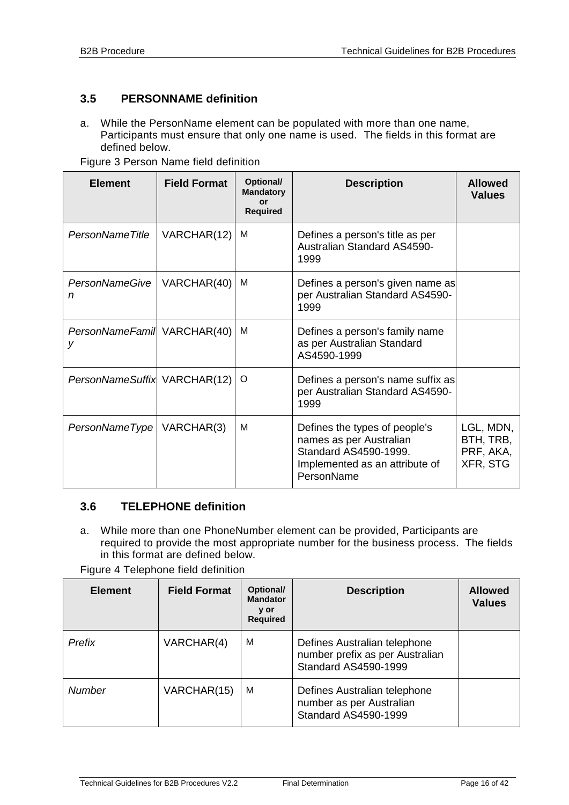#### <span id="page-15-0"></span>**3.5 PERSONNAME definition**

a. While the PersonName element can be populated with more than one name, Participants must ensure that only one name is used. The fields in this format are defined below.

| <b>Element</b>                   | <b>Field Format</b> | Optional/<br><b>Mandatory</b><br>or<br><b>Required</b> | <b>Description</b>                                                                                                                | <b>Allowed</b><br><b>Values</b>                 |
|----------------------------------|---------------------|--------------------------------------------------------|-----------------------------------------------------------------------------------------------------------------------------------|-------------------------------------------------|
| PersonNameTitle                  | VARCHAR(12)         | м                                                      | Defines a person's title as per<br><b>Australian Standard AS4590-</b><br>1999                                                     |                                                 |
| <b>PersonNameGive</b><br>n       | VARCHAR(40)         | м                                                      | Defines a person's given name as<br>per Australian Standard AS4590-<br>1999                                                       |                                                 |
| PersonNameFamil VARCHAR(40)<br>v |                     | м                                                      | Defines a person's family name<br>as per Australian Standard<br>AS4590-1999                                                       |                                                 |
| PersonNameSuffix VARCHAR(12)     |                     | O                                                      | Defines a person's name suffix as<br>per Australian Standard AS4590-<br>1999                                                      |                                                 |
| PersonNameType   VARCHAR(3)      |                     | M                                                      | Defines the types of people's<br>names as per Australian<br>Standard AS4590-1999.<br>Implemented as an attribute of<br>PersonName | LGL, MDN,<br>BTH, TRB,<br>PRF, AKA,<br>XFR, STG |

Figure 3 Person Name field definition

#### <span id="page-15-1"></span>**3.6 TELEPHONE definition**

a. While more than one PhoneNumber element can be provided, Participants are required to provide the most appropriate number for the business process. The fields in this format are defined below.

Figure 4 Telephone field definition

| <b>Element</b> | <b>Field Format</b> | Optional/<br><b>Mandator</b><br>y or<br><b>Required</b> | <b>Description</b>                                                                      | <b>Allowed</b><br><b>Values</b> |
|----------------|---------------------|---------------------------------------------------------|-----------------------------------------------------------------------------------------|---------------------------------|
| Prefix         | VARCHAR(4)          | м                                                       | Defines Australian telephone<br>number prefix as per Australian<br>Standard AS4590-1999 |                                 |
| <b>Number</b>  | VARCHAR(15)         | M                                                       | Defines Australian telephone<br>number as per Australian<br>Standard AS4590-1999        |                                 |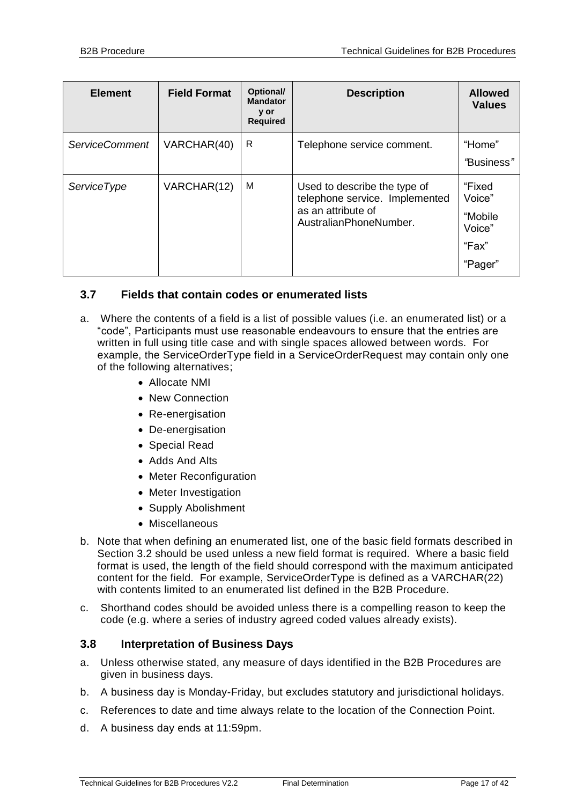| <b>Element</b>        | <b>Field Format</b> | Optional/<br><b>Mandator</b><br>y or<br><b>Required</b> | <b>Description</b>                                                                                             | <b>Allowed</b><br><b>Values</b>                           |
|-----------------------|---------------------|---------------------------------------------------------|----------------------------------------------------------------------------------------------------------------|-----------------------------------------------------------|
| <b>ServiceComment</b> | VARCHAR(40)         | R                                                       | Telephone service comment.                                                                                     | "Home"<br>"Business"                                      |
| <b>ServiceType</b>    | VARCHAR(12)         | M                                                       | Used to describe the type of<br>telephone service. Implemented<br>as an attribute of<br>AustralianPhoneNumber. | "Fixed<br>Voice"<br>"Mobile<br>Voice"<br>"Fax"<br>"Pager" |

#### <span id="page-16-0"></span>**3.7 Fields that contain codes or enumerated lists**

- a. Where the contents of a field is a list of possible values (i.e. an enumerated list) or a "code", Participants must use reasonable endeavours to ensure that the entries are written in full using title case and with single spaces allowed between words. For example, the ServiceOrderType field in a ServiceOrderRequest may contain only one of the following alternatives;
	- Allocate NMI
	- New Connection
	- Re-energisation
	- De-energisation
	- Special Read
	- Adds And Alts
	- Meter Reconfiguration
	- Meter Investigation
	- Supply Abolishment
	- Miscellaneous
- b. Note that when defining an enumerated list, one of the basic field formats described in Section 3.2 should be used unless a new field format is required. Where a basic field format is used, the length of the field should correspond with the maximum anticipated content for the field. For example, ServiceOrderType is defined as a VARCHAR(22) with contents limited to an enumerated list defined in the B2B Procedure.
- c. Shorthand codes should be avoided unless there is a compelling reason to keep the code (e.g. where a series of industry agreed coded values already exists).

#### <span id="page-16-1"></span>**3.8 Interpretation of Business Days**

- a. Unless otherwise stated, any measure of days identified in the B2B Procedures are given in business days.
- b. A business day is Monday-Friday, but excludes statutory and jurisdictional holidays.
- c. References to date and time always relate to the location of the Connection Point.
- d. A business day ends at 11:59pm.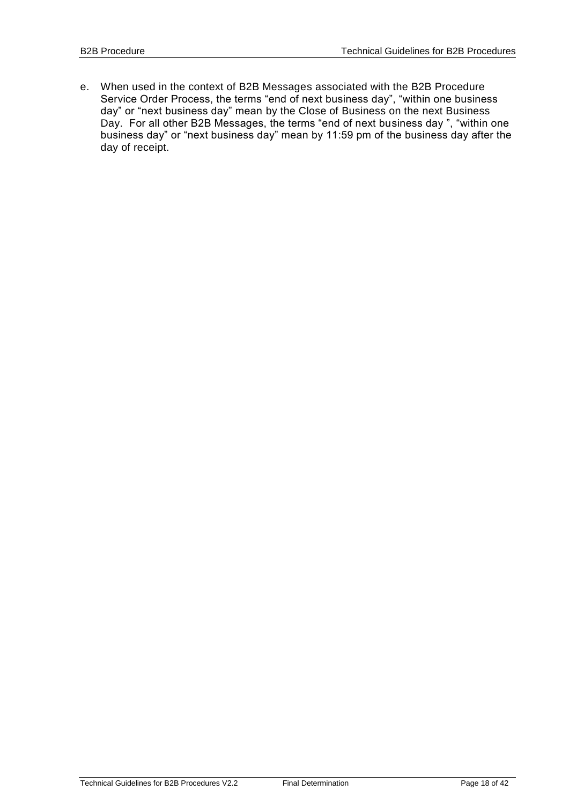e. When used in the context of B2B Messages associated with the B2B Procedure Service Order Process, the terms "end of next business day", "within one business day" or "next business day" mean by the Close of Business on the next Business Day. For all other B2B Messages, the terms "end of next business day ", "within one business day" or "next business day" mean by 11:59 pm of the business day after the day of receipt.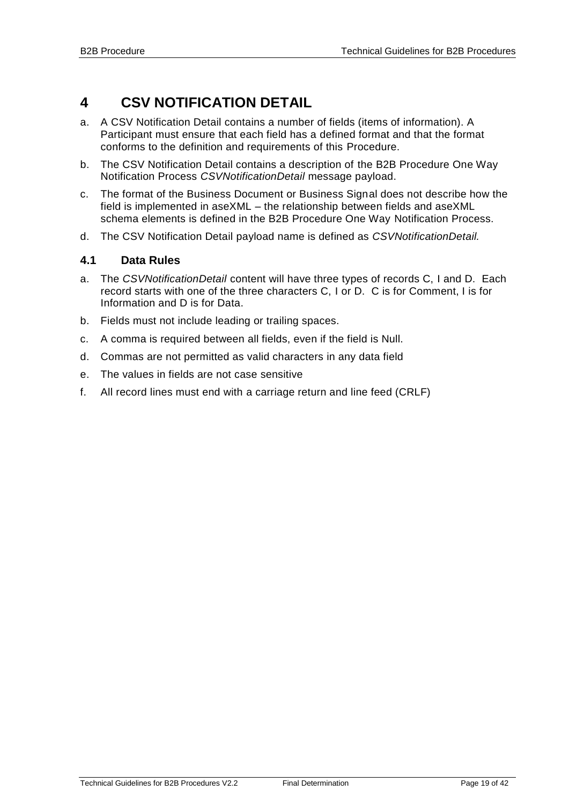## <span id="page-18-0"></span>**4 CSV NOTIFICATION DETAIL**

- a. A CSV Notification Detail contains a number of fields (items of information). A Participant must ensure that each field has a defined format and that the format conforms to the definition and requirements of this Procedure.
- b. The CSV Notification Detail contains a description of the B2B Procedure One Way Notification Process *CSVNotificationDetail* message payload.
- c. The format of the Business Document or Business Signal does not describe how the field is implemented in aseXML – the relationship between fields and aseXML schema elements is defined in the B2B Procedure One Way Notification Process.
- d. The CSV Notification Detail payload name is defined as *CSVNotificationDetail.*

#### <span id="page-18-1"></span>**4.1 Data Rules**

- a. The *CSVNotificationDetail* content will have three types of records C, I and D. Each record starts with one of the three characters C, I or D. C is for Comment, I is for Information and D is for Data.
- b. Fields must not include leading or trailing spaces.
- c. A comma is required between all fields, even if the field is Null.
- d. Commas are not permitted as valid characters in any data field
- e. The values in fields are not case sensitive
- f. All record lines must end with a carriage return and line feed (CRLF)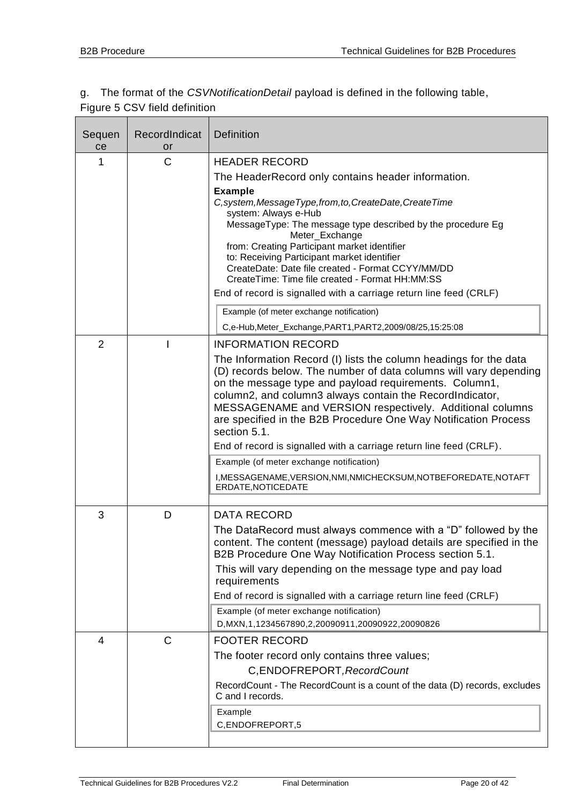#### g. The format of the *CSVNotificationDetail* payload is defined in the following table, Figure 5 CSV field definition

| Sequen<br>ce   | RecordIndicat<br>or | <b>Definition</b>                                                                                                                      |
|----------------|---------------------|----------------------------------------------------------------------------------------------------------------------------------------|
| 1              | $\mathsf{C}$        | <b>HEADER RECORD</b>                                                                                                                   |
|                |                     | The HeaderRecord only contains header information.                                                                                     |
|                |                     | <b>Example</b>                                                                                                                         |
|                |                     | C, system, Message Type, from, to, Create Date, Create Time                                                                            |
|                |                     | system: Always e-Hub<br>MessageType: The message type described by the procedure Eg                                                    |
|                |                     | Meter_Exchange                                                                                                                         |
|                |                     | from: Creating Participant market identifier<br>to: Receiving Participant market identifier                                            |
|                |                     | CreateDate: Date file created - Format CCYY/MM/DD                                                                                      |
|                |                     | CreateTime: Time file created - Format HH:MM:SS                                                                                        |
|                |                     | End of record is signalled with a carriage return line feed (CRLF)                                                                     |
|                |                     | Example (of meter exchange notification)                                                                                               |
|                |                     | C,e-Hub, Meter_Exchange, PART1, PART2, 2009/08/25, 15:25:08                                                                            |
| $\overline{2}$ |                     | <b>INFORMATION RECORD</b>                                                                                                              |
|                |                     | The Information Record (I) lists the column headings for the data<br>(D) records below. The number of data columns will vary depending |
|                |                     | on the message type and payload requirements. Column1,                                                                                 |
|                |                     | column2, and column3 always contain the RecordIndicator,                                                                               |
|                |                     | MESSAGENAME and VERSION respectively. Additional columns<br>are specified in the B2B Procedure One Way Notification Process            |
|                |                     | section 5.1.                                                                                                                           |
|                |                     | End of record is signalled with a carriage return line feed (CRLF).                                                                    |
|                |                     | Example (of meter exchange notification)                                                                                               |
|                |                     | I, MESSAGENAME, VERSION, NMI, NMICHECKSUM, NOTBEFOREDATE, NOTAFT<br>ERDATE, NOTICEDATE                                                 |
|                |                     |                                                                                                                                        |
| 3              | D                   | <b>DATA RECORD</b>                                                                                                                     |
|                |                     | The DataRecord must always commence with a "D" followed by the                                                                         |
|                |                     | content. The content (message) payload details are specified in the<br>B2B Procedure One Way Notification Process section 5.1.         |
|                |                     | This will vary depending on the message type and pay load<br>requirements                                                              |
|                |                     | End of record is signalled with a carriage return line feed (CRLF)                                                                     |
|                |                     | Example (of meter exchange notification)                                                                                               |
|                |                     | D, MXN, 1, 1234567890, 2, 20090911, 20090922, 20090826                                                                                 |
| 4              | $\mathsf{C}$        | <b>FOOTER RECORD</b>                                                                                                                   |
|                |                     | The footer record only contains three values;                                                                                          |
|                |                     | C, ENDOFREPORT, RecordCount                                                                                                            |
|                |                     | RecordCount - The RecordCount is a count of the data (D) records, excludes<br>C and I records.                                         |
|                |                     | Example                                                                                                                                |
|                |                     | C,ENDOFREPORT,5                                                                                                                        |
|                |                     |                                                                                                                                        |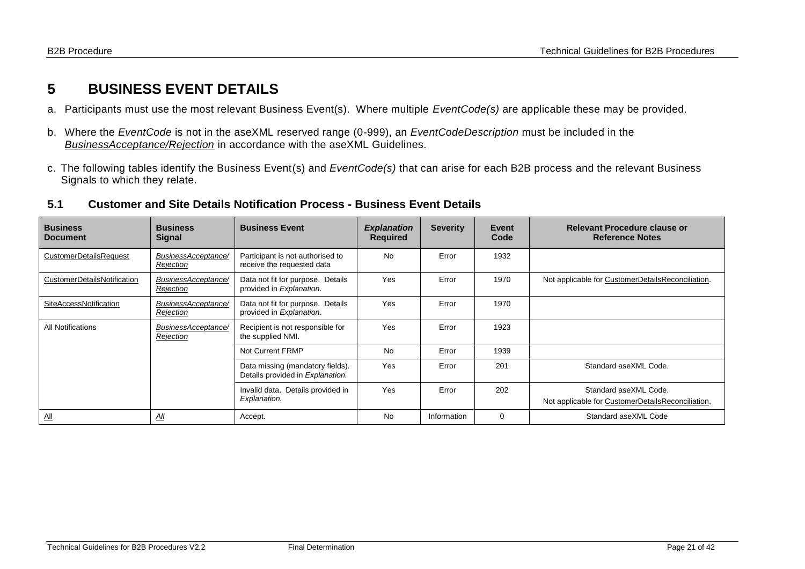## **5 BUSINESS EVENT DETAILS**

- a. Participants must use the most relevant Business Event(s). Where multiple *EventCode(s)* are applicable these may be provided.
- b. Where the *EventCode* is not in the aseXML reserved range (0-999), an *EventCodeDescription* must be included in the *BusinessAcceptance/Rejection* in accordance with the aseXML Guidelines.
- c. The following tables identify the Business Event(s) and *EventCode(s)* that can arise for each B2B process and the relevant Business Signals to which they relate.

#### **5.1 Customer and Site Details Notification Process - Business Event Details**

<span id="page-20-1"></span><span id="page-20-0"></span>

| <b>Business</b><br><b>Document</b> | <b>Business</b><br><b>Signal</b> | <b>Business Event</b>                                                | <b>Explanation</b><br><b>Required</b> | <b>Severity</b> | Event<br>Code | Relevant Procedure clause or<br><b>Reference Notes</b>                     |
|------------------------------------|----------------------------------|----------------------------------------------------------------------|---------------------------------------|-----------------|---------------|----------------------------------------------------------------------------|
| <b>CustomerDetailsRequest</b>      | BusinessAcceptance/<br>Rejection | Participant is not authorised to<br>receive the requested data       | <b>No</b>                             | Error           | 1932          |                                                                            |
| CustomerDetailsNotification        | BusinessAcceptance/<br>Rejection | Data not fit for purpose. Details<br>provided in Explanation.        | Yes                                   | Error           | 1970          | Not applicable for CustomerDetailsReconciliation.                          |
| SiteAccessNotification             | BusinessAcceptance/<br>Rejection | Data not fit for purpose. Details<br>provided in Explanation.        | Yes                                   | Error           | 1970          |                                                                            |
| All Notifications                  | BusinessAcceptance/<br>Rejection | Recipient is not responsible for<br>the supplied NMI.                | Yes                                   | Error           | 1923          |                                                                            |
|                                    |                                  | Not Current FRMP                                                     | <b>No</b>                             | Error           | 1939          |                                                                            |
|                                    |                                  | Data missing (mandatory fields).<br>Details provided in Explanation. | Yes                                   | Error           | 201           | Standard aseXML Code.                                                      |
|                                    |                                  | Invalid data. Details provided in<br>Explanation.                    | Yes                                   | Error           | 202           | Standard aseXML Code.<br>Not applicable for CustomerDetailsReconciliation. |
| $\underline{\mathsf{All}}$         | <u>All</u>                       | Accept.                                                              | <b>No</b>                             | Information     | 0             | Standard aseXML Code                                                       |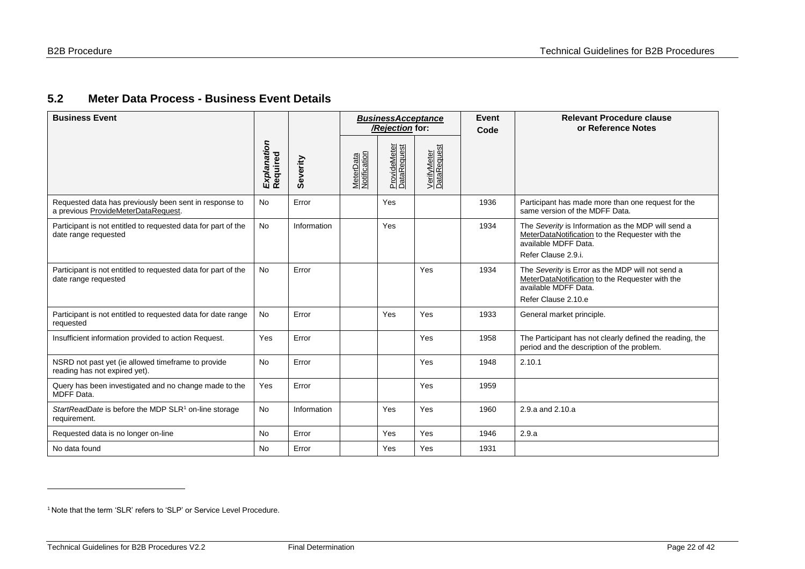#### **5.2 Meter Data Process - Business Event Details**

| <b>Business Event</b>                                                                         |                         |             |                                  | <b>BusinessAcceptance</b><br>/Rejection for: |                            | Event<br>Code | <b>Relevant Procedure clause</b><br>or Reference Notes                                                                                               |
|-----------------------------------------------------------------------------------------------|-------------------------|-------------|----------------------------------|----------------------------------------------|----------------------------|---------------|------------------------------------------------------------------------------------------------------------------------------------------------------|
|                                                                                               | Explanation<br>Required | Severity    | <b>MeterData</b><br>Notification | ProvideMeter<br>DataRequest                  | VerifyMeter<br>DataRequest |               |                                                                                                                                                      |
| Requested data has previously been sent in response to<br>a previous ProvideMeterDataRequest. | <b>No</b>               | Error       |                                  | Yes                                          |                            | 1936          | Participant has made more than one request for the<br>same version of the MDFF Data.                                                                 |
| Participant is not entitled to requested data for part of the<br>date range requested         | <b>No</b>               | Information |                                  | Yes                                          |                            | 1934          | The Severity is Information as the MDP will send a<br>MeterDataNotification to the Requester with the<br>available MDFF Data.<br>Refer Clause 2.9.i. |
| Participant is not entitled to requested data for part of the<br>date range requested         | <b>No</b>               | Error       |                                  |                                              | Yes                        | 1934          | The Severity is Error as the MDP will not send a<br>MeterDataNotification to the Requester with the<br>available MDFF Data.<br>Refer Clause 2.10.e   |
| Participant is not entitled to requested data for date range<br>requested                     | No                      | Error       |                                  | Yes                                          | Yes                        | 1933          | General market principle.                                                                                                                            |
| Insufficient information provided to action Request.                                          | Yes                     | Error       |                                  |                                              | Yes                        | 1958          | The Participant has not clearly defined the reading, the<br>period and the description of the problem.                                               |
| NSRD not past yet (ie allowed timeframe to provide<br>reading has not expired yet).           | <b>No</b>               | Error       |                                  |                                              | Yes                        | 1948          | 2.10.1                                                                                                                                               |
| Query has been investigated and no change made to the<br>MDFF Data.                           | Yes                     | Error       |                                  |                                              | Yes                        | 1959          |                                                                                                                                                      |
| StartReadDate is before the MDP SLR <sup>1</sup> on-line storage<br>requirement.              | No                      | Information |                                  | Yes                                          | Yes                        | 1960          | 2.9.a and 2.10.a                                                                                                                                     |
| Requested data is no longer on-line                                                           | <b>No</b>               | Error       |                                  | Yes                                          | Yes                        | 1946          | 2.9.a                                                                                                                                                |
| No data found                                                                                 | <b>No</b>               | Error       |                                  | Yes                                          | Yes                        | 1931          |                                                                                                                                                      |

<span id="page-21-0"></span>

<sup>&</sup>lt;sup>1</sup> Note that the term 'SLR' refers to 'SLP' or Service Level Procedure.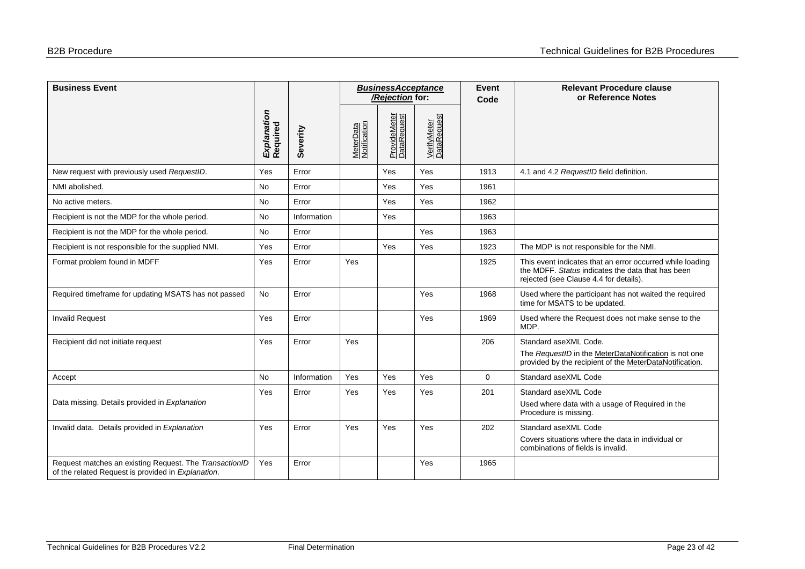| <b>Business Event</b>                                                                                        |                         |             |                           | <b>BusinessAcceptance</b><br>/Rejection for: |                            |             | <b>Relevant Procedure clause</b><br>or Reference Notes                                                                                                   |
|--------------------------------------------------------------------------------------------------------------|-------------------------|-------------|---------------------------|----------------------------------------------|----------------------------|-------------|----------------------------------------------------------------------------------------------------------------------------------------------------------|
|                                                                                                              | Explanation<br>Required | Severity    | MeterData<br>Notification | ProvideMeter<br>DataRequest                  | VerifyMeter<br>DataRequest |             |                                                                                                                                                          |
| New request with previously used RequestID.                                                                  | Yes                     | Error       |                           | Yes                                          | Yes                        | 1913        | 4.1 and 4.2 RequestID field definition.                                                                                                                  |
| NMI abolished.                                                                                               | <b>No</b>               | Error       |                           | Yes                                          | Yes                        | 1961        |                                                                                                                                                          |
| No active meters.                                                                                            | No                      | Error       |                           | Yes                                          | Yes                        | 1962        |                                                                                                                                                          |
| Recipient is not the MDP for the whole period.                                                               | <b>No</b>               | Information |                           | Yes                                          |                            | 1963        |                                                                                                                                                          |
| Recipient is not the MDP for the whole period.                                                               | No                      | Error       |                           |                                              | Yes                        | 1963        |                                                                                                                                                          |
| Recipient is not responsible for the supplied NMI.                                                           | Yes                     | Error       |                           | Yes                                          | Yes                        | 1923        | The MDP is not responsible for the NMI.                                                                                                                  |
| Format problem found in MDFF                                                                                 | Yes                     | Error       | Yes                       |                                              |                            | 1925        | This event indicates that an error occurred while loading<br>the MDFF. Status indicates the data that has been<br>rejected (see Clause 4.4 for details). |
| Required timeframe for updating MSATS has not passed                                                         | No                      | Error       |                           |                                              | Yes                        | 1968        | Used where the participant has not waited the required<br>time for MSATS to be updated.                                                                  |
| <b>Invalid Request</b>                                                                                       | Yes                     | Error       |                           |                                              | Yes                        | 1969        | Used where the Request does not make sense to the<br>MDP.                                                                                                |
| Recipient did not initiate request                                                                           | Yes                     | Error       | Yes                       |                                              |                            | 206         | Standard aseXML Code.                                                                                                                                    |
|                                                                                                              |                         |             |                           |                                              |                            |             | The RequestID in the MeterDataNotification is not one<br>provided by the recipient of the MeterDataNotification.                                         |
| Accept                                                                                                       | <b>No</b>               | Information | Yes                       | Yes                                          | Yes                        | $\mathbf 0$ | Standard aseXML Code                                                                                                                                     |
| Data missing. Details provided in Explanation                                                                | Yes                     | Error       | Yes                       | Yes                                          | Yes                        | 201         | Standard aseXML Code<br>Used where data with a usage of Required in the<br>Procedure is missing.                                                         |
| Invalid data. Details provided in Explanation                                                                | Yes                     | Error       | Yes                       | Yes                                          | Yes                        | 202         | Standard aseXML Code                                                                                                                                     |
|                                                                                                              |                         |             |                           |                                              |                            |             | Covers situations where the data in individual or<br>combinations of fields is invalid.                                                                  |
| Request matches an existing Request. The TransactionID<br>of the related Request is provided in Explanation. | Yes                     | Error       |                           |                                              | Yes                        | 1965        |                                                                                                                                                          |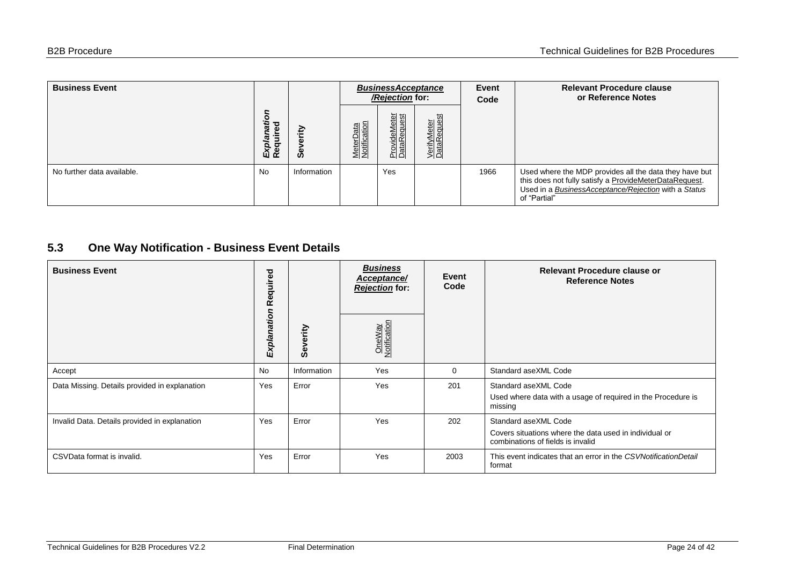| <b>Business Event</b>      |                   | <b>BusinessAcceptance</b><br>/Rejection for: |                           |                             |                            | Event<br>Code | <b>Relevant Procedure clause</b><br>or Reference Notes                                                                                                                                   |
|----------------------------|-------------------|----------------------------------------------|---------------------------|-----------------------------|----------------------------|---------------|------------------------------------------------------------------------------------------------------------------------------------------------------------------------------------------|
|                            | ō<br>τΞ<br>O<br>യ | €<br>ဖိ                                      | MeterData<br>Notification | ProvideMeter<br>DataRequest | VerifyMeter<br>DataRequest |               |                                                                                                                                                                                          |
| No further data available. | <b>No</b>         | Information                                  |                           | Yes                         |                            | 1966          | Used where the MDP provides all the data they have but<br>this does not fully satisfy a ProvideMeterDataRequest.<br>Used in a BusinessAcceptance/Rejection with a Status<br>of "Partial" |

#### **5.3 One Way Notification - Business Event Details**

<span id="page-23-0"></span>

| <b>Business Event</b>                         | equired<br>œ |              | <b>Business</b><br>Acceptance/<br><b>Rejection</b> for: | Event<br>Code | Relevant Procedure clause or<br><b>Reference Notes</b>                                                              |
|-----------------------------------------------|--------------|--------------|---------------------------------------------------------|---------------|---------------------------------------------------------------------------------------------------------------------|
|                                               | Explanation  | verity<br>မီ | OneWay<br>Notification                                  |               |                                                                                                                     |
| Accept                                        | <b>No</b>    | Information  | Yes                                                     | 0             | Standard aseXML Code                                                                                                |
| Data Missing. Details provided in explanation | Yes          | Error        | Yes                                                     | 201           | Standard aseXML Code<br>Used where data with a usage of required in the Procedure is<br>missing                     |
| Invalid Data. Details provided in explanation | Yes          | Error        | Yes                                                     | 202           | Standard aseXML Code<br>Covers situations where the data used in individual or<br>combinations of fields is invalid |
| CSVData format is invalid.                    | Yes          | Error        | Yes                                                     | 2003          | This event indicates that an error in the CSVNotificationDetail<br>format                                           |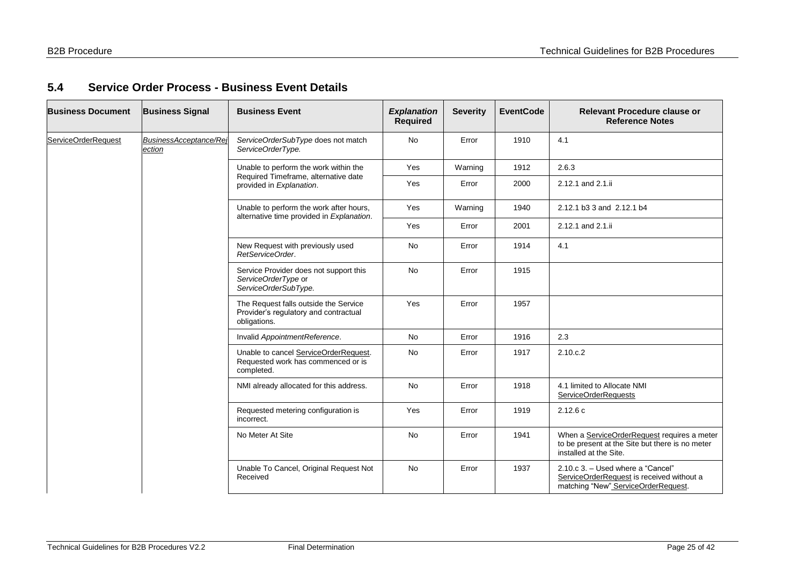#### **5.4 Service Order Process - Business Event Details**

<span id="page-24-0"></span>

| <b>Business Document</b> | <b>Business Signal</b>           | <b>Business Event</b>                                                                          | <b>Explanation</b><br><b>Required</b> | <b>Severity</b> | <b>EventCode</b> | <b>Relevant Procedure clause or</b><br><b>Reference Notes</b>                                                            |
|--------------------------|----------------------------------|------------------------------------------------------------------------------------------------|---------------------------------------|-----------------|------------------|--------------------------------------------------------------------------------------------------------------------------|
| ServiceOrderRequest      | BusinessAcceptance/Rej<br>ection | ServiceOrderSubType does not match<br>ServiceOrderType.                                        | <b>No</b>                             | Error           | 1910             | 4.1                                                                                                                      |
|                          |                                  | Unable to perform the work within the                                                          | Yes                                   | Warning         | 1912             | 2.6.3                                                                                                                    |
|                          |                                  | Required Timeframe, alternative date<br>provided in Explanation.                               | Yes                                   | Error           | 2000             | 2.12.1 and 2.1.ii                                                                                                        |
|                          |                                  | Unable to perform the work after hours,<br>alternative time provided in Explanation.           | Yes                                   | Warning         | 1940             | 2.12.1 b3 3 and 2.12.1 b4                                                                                                |
|                          |                                  |                                                                                                | Yes                                   | Error           | 2001             | 2.12.1 and 2.1.ii                                                                                                        |
|                          |                                  | New Request with previously used<br>RetServiceOrder.                                           | <b>No</b>                             | Error           | 1914             | 4.1                                                                                                                      |
|                          |                                  | Service Provider does not support this<br>ServiceOrderType or<br>ServiceOrderSubType.          | <b>No</b>                             | Error           | 1915             |                                                                                                                          |
|                          |                                  | The Request falls outside the Service<br>Provider's regulatory and contractual<br>obligations. | Yes                                   | Error           | 1957             |                                                                                                                          |
|                          |                                  | Invalid AppointmentReference.                                                                  | <b>No</b>                             | Error           | 1916             | 2.3                                                                                                                      |
|                          |                                  | Unable to cancel ServiceOrderRequest.<br>Requested work has commenced or is<br>completed.      | <b>No</b>                             | Error           | 1917             | 2.10.c.2                                                                                                                 |
|                          |                                  | NMI already allocated for this address.                                                        | <b>No</b>                             | Error           | 1918             | 4.1 limited to Allocate NMI<br>ServiceOrderRequests                                                                      |
|                          |                                  | Requested metering configuration is<br>incorrect.                                              | Yes                                   | Error           | 1919             | 2.12.6c                                                                                                                  |
|                          |                                  | No Meter At Site                                                                               | No                                    | Error           | 1941             | When a ServiceOrderRequest requires a meter<br>to be present at the Site but there is no meter<br>installed at the Site. |
|                          |                                  | Unable To Cancel, Original Request Not<br>Received                                             | <b>No</b>                             | Error           | 1937             | 2.10.c 3. - Used where a "Cancel"<br>ServiceOrderRequest is received without a<br>matching "New" ServiceOrderRequest.    |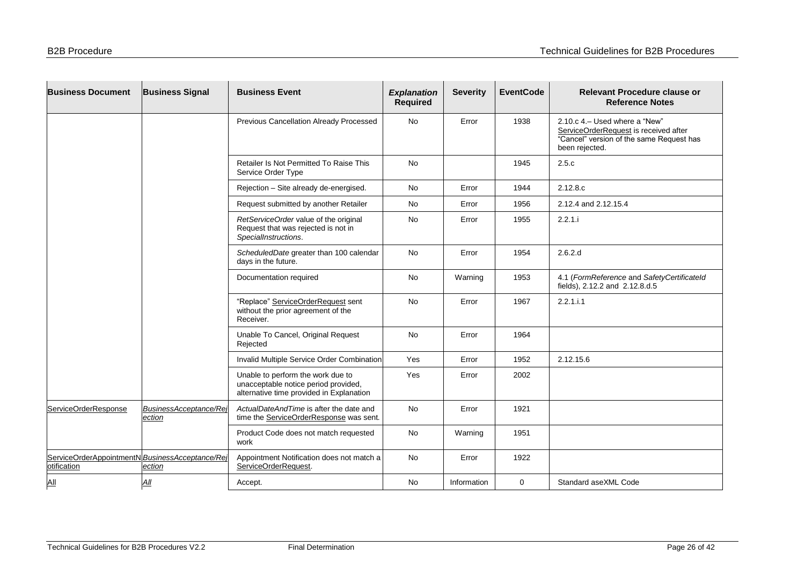| <b>Business Document</b>                                      | <b>Business Signal</b>           | <b>Business Event</b>                                                                                                 | <b>Explanation</b><br><b>Required</b> | <b>Severity</b> | <b>EventCode</b> | <b>Relevant Procedure clause or</b><br><b>Reference Notes</b>                                                                         |
|---------------------------------------------------------------|----------------------------------|-----------------------------------------------------------------------------------------------------------------------|---------------------------------------|-----------------|------------------|---------------------------------------------------------------------------------------------------------------------------------------|
|                                                               |                                  | Previous Cancellation Already Processed                                                                               | No                                    | Error           | 1938             | 2.10.c 4. - Used where a "New"<br>ServiceOrderRequest is received after<br>"Cancel" version of the same Request has<br>been rejected. |
|                                                               |                                  | Retailer Is Not Permitted To Raise This<br>Service Order Type                                                         | <b>No</b>                             |                 | 1945             | 2.5.c                                                                                                                                 |
|                                                               |                                  | Rejection - Site already de-energised.                                                                                | No                                    | Error           | 1944             | 2.12.8.c                                                                                                                              |
|                                                               |                                  | Request submitted by another Retailer                                                                                 | No                                    | Error           | 1956             | 2.12.4 and 2.12.15.4                                                                                                                  |
|                                                               |                                  | RetServiceOrder value of the original<br>Request that was rejected is not in<br>SpecialInstructions.                  | <b>No</b>                             | Error           | 1955             | 2.2.1.i                                                                                                                               |
|                                                               |                                  | ScheduledDate greater than 100 calendar<br>days in the future.                                                        | <b>No</b>                             | Error           | 1954             | 2.6.2.d                                                                                                                               |
|                                                               |                                  | Documentation required                                                                                                | No                                    | Warning         | 1953             | 4.1 (FormReference and SafetyCertificateId<br>fields), 2.12.2 and 2.12.8.d.5                                                          |
|                                                               |                                  | "Replace" ServiceOrderRequest sent<br>without the prior agreement of the<br>Receiver.                                 | <b>No</b>                             | Error           | 1967             | 2.2.1.i.1                                                                                                                             |
|                                                               |                                  | Unable To Cancel, Original Request<br>Rejected                                                                        | <b>No</b>                             | Error           | 1964             |                                                                                                                                       |
|                                                               |                                  | Invalid Multiple Service Order Combination                                                                            | Yes                                   | Error           | 1952             | 2.12.15.6                                                                                                                             |
|                                                               |                                  | Unable to perform the work due to<br>unacceptable notice period provided,<br>alternative time provided in Explanation | Yes                                   | Error           | 2002             |                                                                                                                                       |
| ServiceOrderResponse                                          | BusinessAcceptance/Rej<br>ection | ActualDateAndTime is after the date and<br>time the ServiceOrderResponse was sent.                                    | No                                    | Error           | 1921             |                                                                                                                                       |
|                                                               |                                  | Product Code does not match requested<br>work                                                                         | No                                    | Warning         | 1951             |                                                                                                                                       |
| ServiceOrderAppointmentN BusinessAcceptance/Re<br>otification | ection                           | Appointment Notification does not match a<br>ServiceOrderRequest.                                                     | No                                    | Error           | 1922             |                                                                                                                                       |
| $\underline{\mathsf{All}}$                                    | All                              | Accept.                                                                                                               | No                                    | Information     | 0                | Standard aseXML Code                                                                                                                  |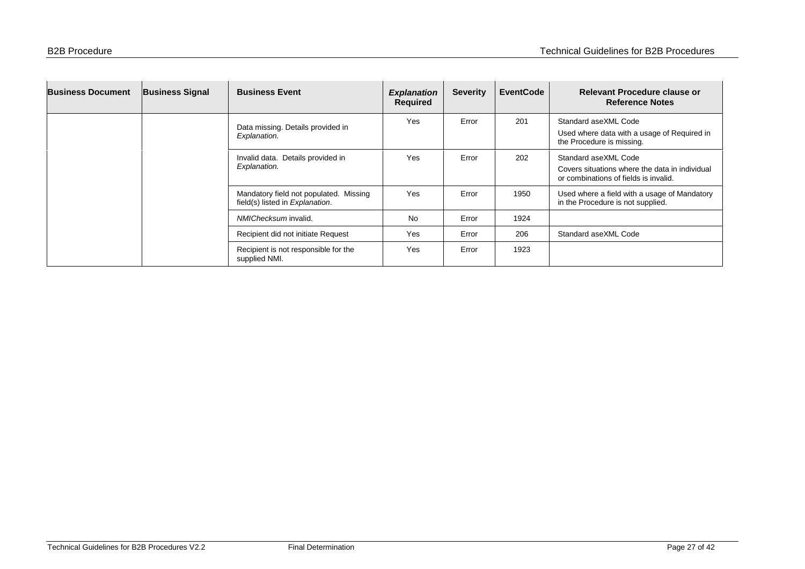| <b>Business Document</b> | <b>Business Signal</b> | <b>Business Event</b>                                                     | <b>Explanation</b><br>Required | <b>Severity</b> | <b>EventCode</b> | Relevant Procedure clause or<br><b>Reference Notes</b>                                                          |
|--------------------------|------------------------|---------------------------------------------------------------------------|--------------------------------|-----------------|------------------|-----------------------------------------------------------------------------------------------------------------|
|                          |                        | Data missing. Details provided in<br>Explanation.                         | Yes                            | Error           | 201              | Standard aseXML Code<br>Used where data with a usage of Required in<br>the Procedure is missing.                |
|                          |                        | Invalid data. Details provided in<br>Explanation.                         | Yes                            | Error           | 202              | Standard aseXML Code<br>Covers situations where the data in individual<br>or combinations of fields is invalid. |
|                          |                        | Mandatory field not populated. Missing<br>field(s) listed in Explanation. | Yes                            | Error           | 1950             | Used where a field with a usage of Mandatory<br>in the Procedure is not supplied.                               |
|                          |                        | NMIChecksum invalid.                                                      | <b>No</b>                      | Error           | 1924             |                                                                                                                 |
|                          |                        | Recipient did not initiate Request                                        | Yes                            | Error           | 206              | Standard aseXML Code                                                                                            |
|                          |                        | Recipient is not responsible for the<br>supplied NMI.                     | Yes                            | Error           | 1923             |                                                                                                                 |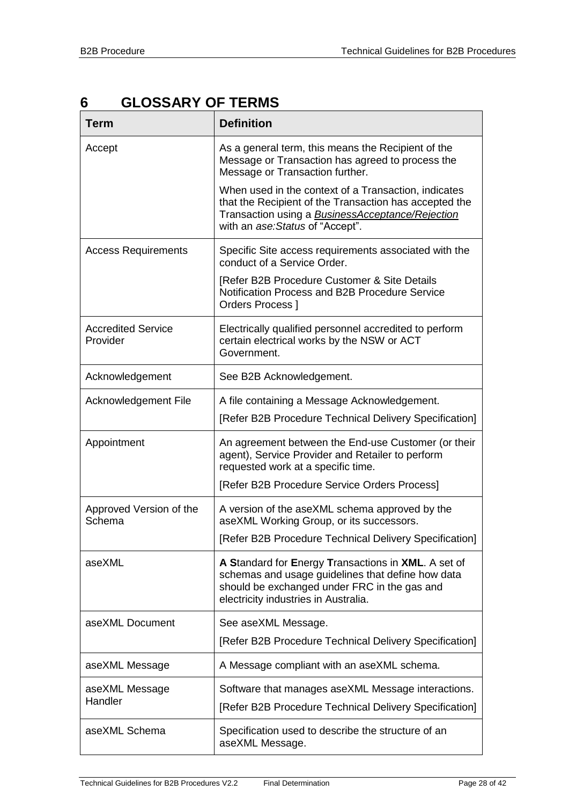## <span id="page-27-0"></span>**6 GLOSSARY OF TERMS**

| <b>Term</b>                           | <b>Definition</b>                                                                                                                                                                                             |
|---------------------------------------|---------------------------------------------------------------------------------------------------------------------------------------------------------------------------------------------------------------|
| Accept                                | As a general term, this means the Recipient of the<br>Message or Transaction has agreed to process the<br>Message or Transaction further.                                                                     |
|                                       | When used in the context of a Transaction, indicates<br>that the Recipient of the Transaction has accepted the<br>Transaction using a <b>BusinessAcceptance/Rejection</b><br>with an ase: Status of "Accept". |
| <b>Access Requirements</b>            | Specific Site access requirements associated with the<br>conduct of a Service Order.                                                                                                                          |
|                                       | [Refer B2B Procedure Customer & Site Details<br>Notification Process and B2B Procedure Service<br>Orders Process ]                                                                                            |
| <b>Accredited Service</b><br>Provider | Electrically qualified personnel accredited to perform<br>certain electrical works by the NSW or ACT<br>Government.                                                                                           |
| Acknowledgement                       | See B2B Acknowledgement.                                                                                                                                                                                      |
| Acknowledgement File                  | A file containing a Message Acknowledgement.                                                                                                                                                                  |
|                                       | [Refer B2B Procedure Technical Delivery Specification]                                                                                                                                                        |
| Appointment                           | An agreement between the End-use Customer (or their<br>agent), Service Provider and Retailer to perform<br>requested work at a specific time.                                                                 |
|                                       | [Refer B2B Procedure Service Orders Process]                                                                                                                                                                  |
| Approved Version of the<br>Schema     | A version of the aseXML schema approved by the<br>aseXML Working Group, or its successors.                                                                                                                    |
|                                       | [Refer B2B Procedure Technical Delivery Specification]                                                                                                                                                        |
| aseXML                                | A Standard for Energy Transactions in XML. A set of<br>schemas and usage guidelines that define how data<br>should be exchanged under FRC in the gas and<br>electricity industries in Australia.              |
| aseXML Document                       | See aseXML Message.<br>[Refer B2B Procedure Technical Delivery Specification]                                                                                                                                 |
|                                       |                                                                                                                                                                                                               |
| aseXML Message                        | A Message compliant with an aseXML schema.                                                                                                                                                                    |
| aseXML Message<br>Handler             | Software that manages aseXML Message interactions.<br>[Refer B2B Procedure Technical Delivery Specification]                                                                                                  |
| aseXML Schema                         | Specification used to describe the structure of an<br>aseXML Message.                                                                                                                                         |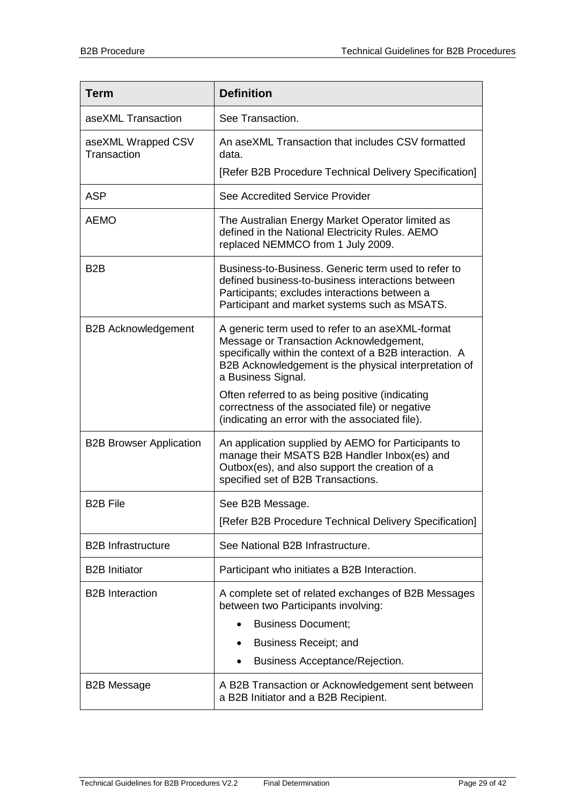| <b>Term</b>                       | <b>Definition</b>                                                                                                                                                                                                                     |  |  |  |  |  |
|-----------------------------------|---------------------------------------------------------------------------------------------------------------------------------------------------------------------------------------------------------------------------------------|--|--|--|--|--|
| aseXML Transaction                | See Transaction.                                                                                                                                                                                                                      |  |  |  |  |  |
| aseXML Wrapped CSV<br>Transaction | An aseXML Transaction that includes CSV formatted<br>data.                                                                                                                                                                            |  |  |  |  |  |
|                                   | [Refer B2B Procedure Technical Delivery Specification]                                                                                                                                                                                |  |  |  |  |  |
| <b>ASP</b>                        | See Accredited Service Provider                                                                                                                                                                                                       |  |  |  |  |  |
| <b>AEMO</b>                       | The Australian Energy Market Operator limited as<br>defined in the National Electricity Rules. AEMO<br>replaced NEMMCO from 1 July 2009.                                                                                              |  |  |  |  |  |
| B <sub>2</sub> B                  | Business-to-Business. Generic term used to refer to<br>defined business-to-business interactions between<br>Participants; excludes interactions between a<br>Participant and market systems such as MSATS.                            |  |  |  |  |  |
| <b>B2B Acknowledgement</b>        | A generic term used to refer to an aseXML-format<br>Message or Transaction Acknowledgement,<br>specifically within the context of a B2B interaction. A<br>B2B Acknowledgement is the physical interpretation of<br>a Business Signal. |  |  |  |  |  |
|                                   | Often referred to as being positive (indicating<br>correctness of the associated file) or negative<br>(indicating an error with the associated file).                                                                                 |  |  |  |  |  |
| <b>B2B Browser Application</b>    | An application supplied by AEMO for Participants to<br>manage their MSATS B2B Handler Inbox(es) and<br>Outbox(es), and also support the creation of a<br>specified set of B2B Transactions.                                           |  |  |  |  |  |
| <b>B2B File</b>                   | See B2B Message                                                                                                                                                                                                                       |  |  |  |  |  |
|                                   | [Refer B2B Procedure Technical Delivery Specification]                                                                                                                                                                                |  |  |  |  |  |
| <b>B2B Infrastructure</b>         | See National B2B Infrastructure.                                                                                                                                                                                                      |  |  |  |  |  |
| <b>B2B Initiator</b>              | Participant who initiates a B2B Interaction.                                                                                                                                                                                          |  |  |  |  |  |
| <b>B2B</b> Interaction            | A complete set of related exchanges of B2B Messages<br>between two Participants involving:                                                                                                                                            |  |  |  |  |  |
|                                   | <b>Business Document;</b>                                                                                                                                                                                                             |  |  |  |  |  |
|                                   | Business Receipt; and<br>٠                                                                                                                                                                                                            |  |  |  |  |  |
|                                   | Business Acceptance/Rejection.                                                                                                                                                                                                        |  |  |  |  |  |
| <b>B2B Message</b>                | A B2B Transaction or Acknowledgement sent between<br>a B2B Initiator and a B2B Recipient.                                                                                                                                             |  |  |  |  |  |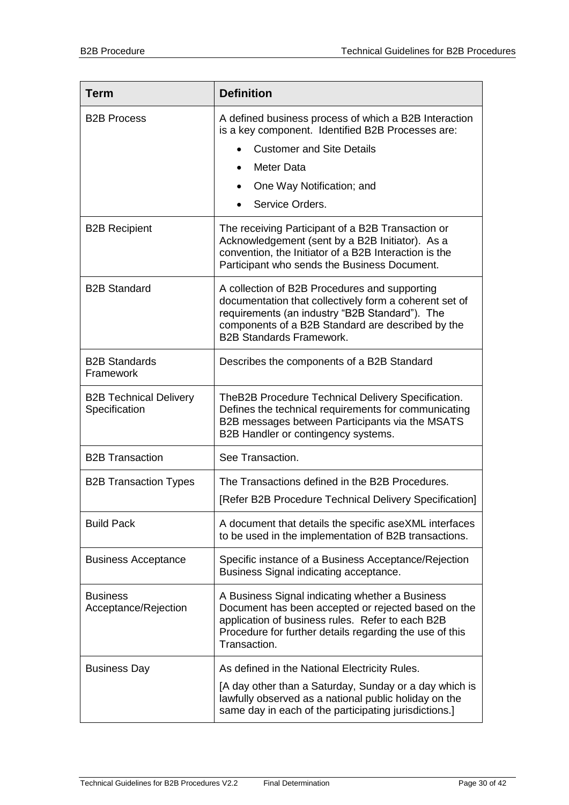| <b>Term</b>                                    | <b>Definition</b>                                                                                                                                                                                                                                 |  |  |  |  |
|------------------------------------------------|---------------------------------------------------------------------------------------------------------------------------------------------------------------------------------------------------------------------------------------------------|--|--|--|--|
| <b>B2B Process</b>                             | A defined business process of which a B2B Interaction<br>is a key component. Identified B2B Processes are:                                                                                                                                        |  |  |  |  |
|                                                | <b>Customer and Site Details</b>                                                                                                                                                                                                                  |  |  |  |  |
|                                                | Meter Data<br>$\bullet$                                                                                                                                                                                                                           |  |  |  |  |
|                                                | One Way Notification; and<br>$\bullet$                                                                                                                                                                                                            |  |  |  |  |
|                                                | Service Orders.                                                                                                                                                                                                                                   |  |  |  |  |
| <b>B2B Recipient</b>                           | The receiving Participant of a B2B Transaction or<br>Acknowledgement (sent by a B2B Initiator). As a<br>convention, the Initiator of a B2B Interaction is the<br>Participant who sends the Business Document.                                     |  |  |  |  |
| <b>B2B Standard</b>                            | A collection of B2B Procedures and supporting<br>documentation that collectively form a coherent set of<br>requirements (an industry "B2B Standard"). The<br>components of a B2B Standard are described by the<br><b>B2B Standards Framework.</b> |  |  |  |  |
| <b>B2B Standards</b><br>Framework              | Describes the components of a B2B Standard                                                                                                                                                                                                        |  |  |  |  |
| <b>B2B Technical Delivery</b><br>Specification | TheB2B Procedure Technical Delivery Specification.<br>Defines the technical requirements for communicating<br>B2B messages between Participants via the MSATS<br>B2B Handler or contingency systems.                                              |  |  |  |  |
| <b>B2B Transaction</b>                         | See Transaction.                                                                                                                                                                                                                                  |  |  |  |  |
| <b>B2B Transaction Types</b>                   | The Transactions defined in the B2B Procedures.                                                                                                                                                                                                   |  |  |  |  |
|                                                | [Refer B2B Procedure Technical Delivery Specification]                                                                                                                                                                                            |  |  |  |  |
| <b>Build Pack</b>                              | A document that details the specific aseXML interfaces<br>to be used in the implementation of B2B transactions.                                                                                                                                   |  |  |  |  |
| <b>Business Acceptance</b>                     | Specific instance of a Business Acceptance/Rejection<br>Business Signal indicating acceptance.                                                                                                                                                    |  |  |  |  |
| <b>Business</b><br>Acceptance/Rejection        | A Business Signal indicating whether a Business<br>Document has been accepted or rejected based on the<br>application of business rules. Refer to each B2B<br>Procedure for further details regarding the use of this<br>Transaction.             |  |  |  |  |
| <b>Business Day</b>                            | As defined in the National Electricity Rules.                                                                                                                                                                                                     |  |  |  |  |
|                                                | [A day other than a Saturday, Sunday or a day which is<br>lawfully observed as a national public holiday on the<br>same day in each of the participating jurisdictions.]                                                                          |  |  |  |  |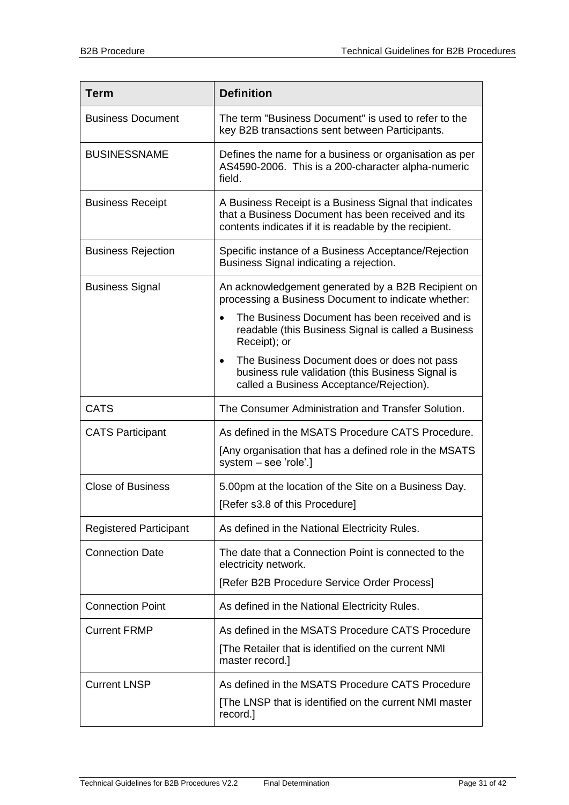| <b>Term</b>                   | <b>Definition</b>                                                                                                                                                      |
|-------------------------------|------------------------------------------------------------------------------------------------------------------------------------------------------------------------|
| <b>Business Document</b>      | The term "Business Document" is used to refer to the<br>key B2B transactions sent between Participants.                                                                |
| <b>BUSINESSNAME</b>           | Defines the name for a business or organisation as per<br>AS4590-2006. This is a 200-character alpha-numeric<br>field.                                                 |
| <b>Business Receipt</b>       | A Business Receipt is a Business Signal that indicates<br>that a Business Document has been received and its<br>contents indicates if it is readable by the recipient. |
| <b>Business Rejection</b>     | Specific instance of a Business Acceptance/Rejection<br>Business Signal indicating a rejection.                                                                        |
| <b>Business Signal</b>        | An acknowledgement generated by a B2B Recipient on<br>processing a Business Document to indicate whether:                                                              |
|                               | The Business Document has been received and is<br>readable (this Business Signal is called a Business<br>Receipt); or                                                  |
|                               | The Business Document does or does not pass<br>$\bullet$<br>business rule validation (this Business Signal is<br>called a Business Acceptance/Rejection).              |
| <b>CATS</b>                   | The Consumer Administration and Transfer Solution.                                                                                                                     |
| <b>CATS Participant</b>       | As defined in the MSATS Procedure CATS Procedure.<br>[Any organisation that has a defined role in the MSATS<br>system - see 'role'.]                                   |
| <b>Close of Business</b>      | 5.00pm at the location of the Site on a Business Day.<br>[Refer s3.8 of this Procedure]                                                                                |
| <b>Registered Participant</b> | As defined in the National Electricity Rules.                                                                                                                          |
| <b>Connection Date</b>        | The date that a Connection Point is connected to the<br>electricity network.                                                                                           |
|                               | [Refer B2B Procedure Service Order Process]                                                                                                                            |
| <b>Connection Point</b>       | As defined in the National Electricity Rules.                                                                                                                          |
| <b>Current FRMP</b>           | As defined in the MSATS Procedure CATS Procedure<br>[The Retailer that is identified on the current NMI<br>master record.]                                             |
| <b>Current LNSP</b>           | As defined in the MSATS Procedure CATS Procedure<br>[The LNSP that is identified on the current NMI master<br>record.]                                                 |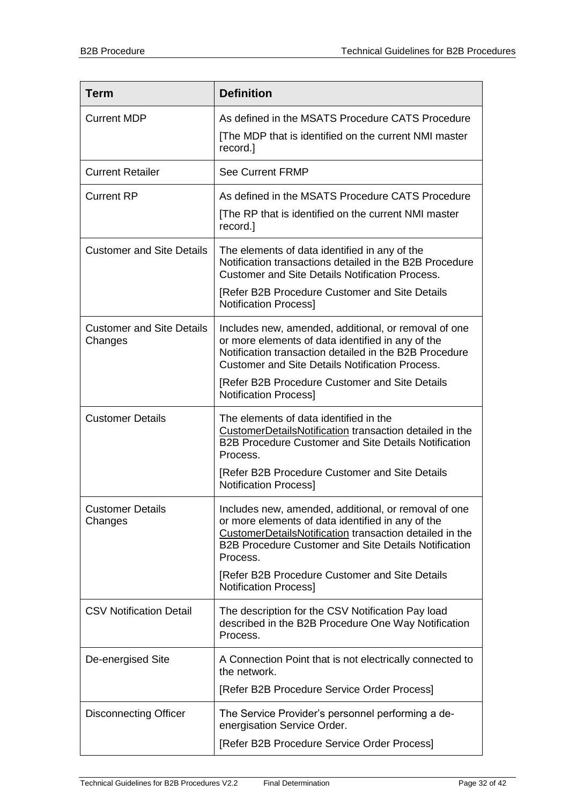| <b>Term</b>                                 | <b>Definition</b>                                                                                                                                                                                                                               |
|---------------------------------------------|-------------------------------------------------------------------------------------------------------------------------------------------------------------------------------------------------------------------------------------------------|
| <b>Current MDP</b>                          | As defined in the MSATS Procedure CATS Procedure<br>[The MDP that is identified on the current NMI master<br>record.]                                                                                                                           |
| <b>Current Retailer</b>                     | <b>See Current FRMP</b>                                                                                                                                                                                                                         |
| <b>Current RP</b>                           | As defined in the MSATS Procedure CATS Procedure<br>[The RP that is identified on the current NMI master<br>record.]                                                                                                                            |
| <b>Customer and Site Details</b>            | The elements of data identified in any of the<br>Notification transactions detailed in the B2B Procedure<br><b>Customer and Site Details Notification Process.</b>                                                                              |
|                                             | [Refer B2B Procedure Customer and Site Details<br><b>Notification Process]</b>                                                                                                                                                                  |
| <b>Customer and Site Details</b><br>Changes | Includes new, amended, additional, or removal of one<br>or more elements of data identified in any of the<br>Notification transaction detailed in the B2B Procedure<br><b>Customer and Site Details Notification Process.</b>                   |
|                                             | [Refer B2B Procedure Customer and Site Details<br><b>Notification Process]</b>                                                                                                                                                                  |
| <b>Customer Details</b>                     | The elements of data identified in the<br>CustomerDetailsNotification transaction detailed in the<br><b>B2B Procedure Customer and Site Details Notification</b><br>Process.                                                                    |
|                                             | [Refer B2B Procedure Customer and Site Details<br><b>Notification Process]</b>                                                                                                                                                                  |
| <b>Customer Details</b><br>Changes          | Includes new, amended, additional, or removal of one<br>or more elements of data identified in any of the<br>CustomerDetailsNotification transaction detailed in the<br><b>B2B Procedure Customer and Site Details Notification</b><br>Process. |
|                                             | [Refer B2B Procedure Customer and Site Details<br><b>Notification Process]</b>                                                                                                                                                                  |
| <b>CSV Notification Detail</b>              | The description for the CSV Notification Pay load<br>described in the B2B Procedure One Way Notification<br>Process.                                                                                                                            |
| De-energised Site                           | A Connection Point that is not electrically connected to<br>the network.                                                                                                                                                                        |
|                                             | [Refer B2B Procedure Service Order Process]                                                                                                                                                                                                     |
| <b>Disconnecting Officer</b>                | The Service Provider's personnel performing a de-<br>energisation Service Order.                                                                                                                                                                |
|                                             | [Refer B2B Procedure Service Order Process]                                                                                                                                                                                                     |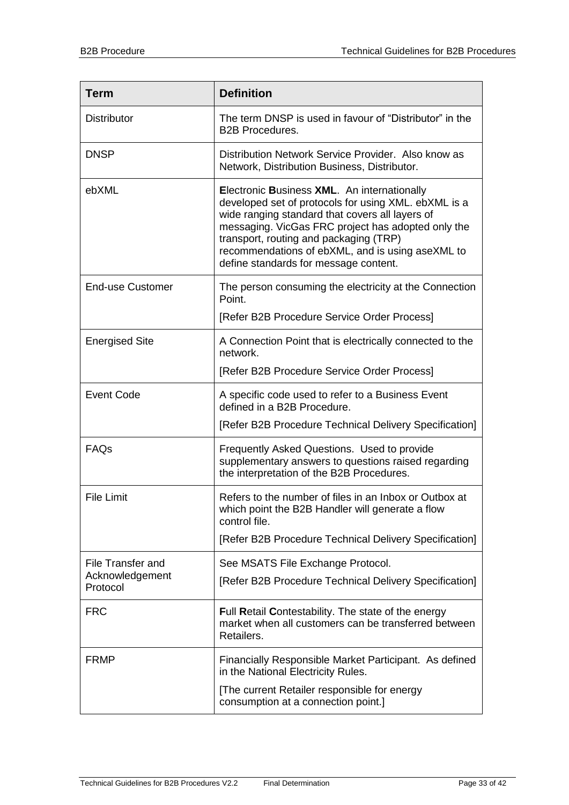| <b>Term</b>                 | <b>Definition</b>                                                                                                                                                                                                                                                                                                                                   |
|-----------------------------|-----------------------------------------------------------------------------------------------------------------------------------------------------------------------------------------------------------------------------------------------------------------------------------------------------------------------------------------------------|
| <b>Distributor</b>          | The term DNSP is used in favour of "Distributor" in the<br><b>B2B Procedures.</b>                                                                                                                                                                                                                                                                   |
| <b>DNSP</b>                 | Distribution Network Service Provider. Also know as<br>Network, Distribution Business, Distributor.                                                                                                                                                                                                                                                 |
| ebXML                       | Electronic Business XML. An internationally<br>developed set of protocols for using XML. ebXML is a<br>wide ranging standard that covers all layers of<br>messaging. VicGas FRC project has adopted only the<br>transport, routing and packaging (TRP)<br>recommendations of ebXML, and is using aseXML to<br>define standards for message content. |
| <b>End-use Customer</b>     | The person consuming the electricity at the Connection<br>Point.                                                                                                                                                                                                                                                                                    |
|                             | [Refer B2B Procedure Service Order Process]                                                                                                                                                                                                                                                                                                         |
| <b>Energised Site</b>       | A Connection Point that is electrically connected to the<br>network.                                                                                                                                                                                                                                                                                |
|                             | [Refer B2B Procedure Service Order Process]                                                                                                                                                                                                                                                                                                         |
| <b>Event Code</b>           | A specific code used to refer to a Business Event<br>defined in a B2B Procedure.                                                                                                                                                                                                                                                                    |
|                             | [Refer B2B Procedure Technical Delivery Specification]                                                                                                                                                                                                                                                                                              |
| FAQs                        | Frequently Asked Questions. Used to provide<br>supplementary answers to questions raised regarding<br>the interpretation of the B2B Procedures.                                                                                                                                                                                                     |
| <b>File Limit</b>           | Refers to the number of files in an Inbox or Outbox at<br>which point the B2B Handler will generate a flow<br>control file.                                                                                                                                                                                                                         |
|                             | [Refer B2B Procedure Technical Delivery Specification]                                                                                                                                                                                                                                                                                              |
| <b>File Transfer and</b>    | See MSATS File Exchange Protocol.                                                                                                                                                                                                                                                                                                                   |
| Acknowledgement<br>Protocol | [Refer B2B Procedure Technical Delivery Specification]                                                                                                                                                                                                                                                                                              |
| <b>FRC</b>                  | Full Retail Contestability. The state of the energy<br>market when all customers can be transferred between<br>Retailers.                                                                                                                                                                                                                           |
| <b>FRMP</b>                 | Financially Responsible Market Participant. As defined<br>in the National Electricity Rules.                                                                                                                                                                                                                                                        |
|                             | [The current Retailer responsible for energy<br>consumption at a connection point.]                                                                                                                                                                                                                                                                 |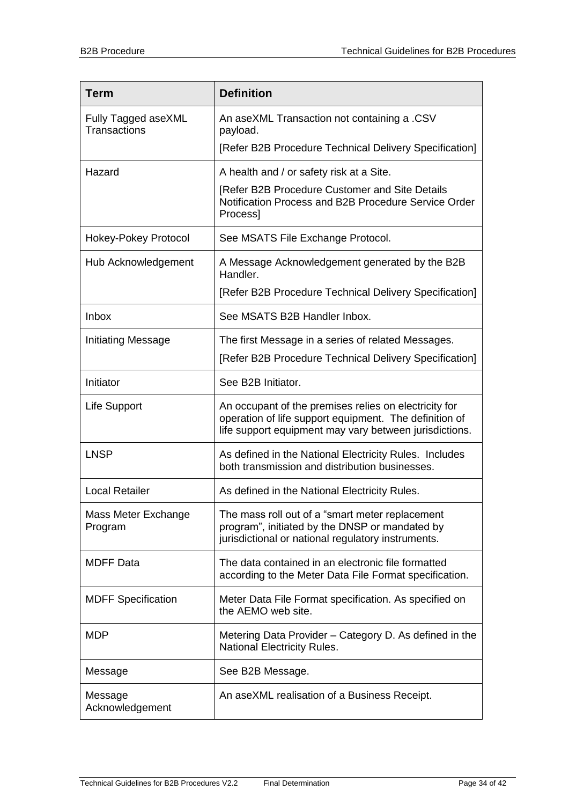| <b>Term</b>                         | <b>Definition</b>                                                                                                                                                         |
|-------------------------------------|---------------------------------------------------------------------------------------------------------------------------------------------------------------------------|
| Fully Tagged aseXML<br>Transactions | An aseXML Transaction not containing a .CSV<br>payload.                                                                                                                   |
|                                     | [Refer B2B Procedure Technical Delivery Specification]                                                                                                                    |
| Hazard                              | A health and / or safety risk at a Site.                                                                                                                                  |
|                                     | [Refer B2B Procedure Customer and Site Details<br>Notification Process and B2B Procedure Service Order<br>Process]                                                        |
| Hokey-Pokey Protocol                | See MSATS File Exchange Protocol.                                                                                                                                         |
| Hub Acknowledgement                 | A Message Acknowledgement generated by the B2B<br>Handler.                                                                                                                |
|                                     | [Refer B2B Procedure Technical Delivery Specification]                                                                                                                    |
| <b>Inbox</b>                        | See MSATS B2B Handler Inbox.                                                                                                                                              |
| Initiating Message                  | The first Message in a series of related Messages.                                                                                                                        |
|                                     | [Refer B2B Procedure Technical Delivery Specification]                                                                                                                    |
| Initiator                           | See B2B Initiator.                                                                                                                                                        |
| Life Support                        | An occupant of the premises relies on electricity for<br>operation of life support equipment. The definition of<br>life support equipment may vary between jurisdictions. |
| <b>LNSP</b>                         | As defined in the National Electricity Rules. Includes<br>both transmission and distribution businesses.                                                                  |
| <b>Local Retailer</b>               | As defined in the National Electricity Rules.                                                                                                                             |
| Mass Meter Exchange<br>Program      | The mass roll out of a "smart meter replacement<br>program", initiated by the DNSP or mandated by<br>jurisdictional or national regulatory instruments.                   |
| <b>MDFF Data</b>                    | The data contained in an electronic file formatted<br>according to the Meter Data File Format specification.                                                              |
| <b>MDFF Specification</b>           | Meter Data File Format specification. As specified on<br>the AEMO web site.                                                                                               |
| <b>MDP</b>                          | Metering Data Provider – Category D. As defined in the<br>National Electricity Rules.                                                                                     |
| Message                             | See B2B Message.                                                                                                                                                          |
| Message<br>Acknowledgement          | An aseXML realisation of a Business Receipt.                                                                                                                              |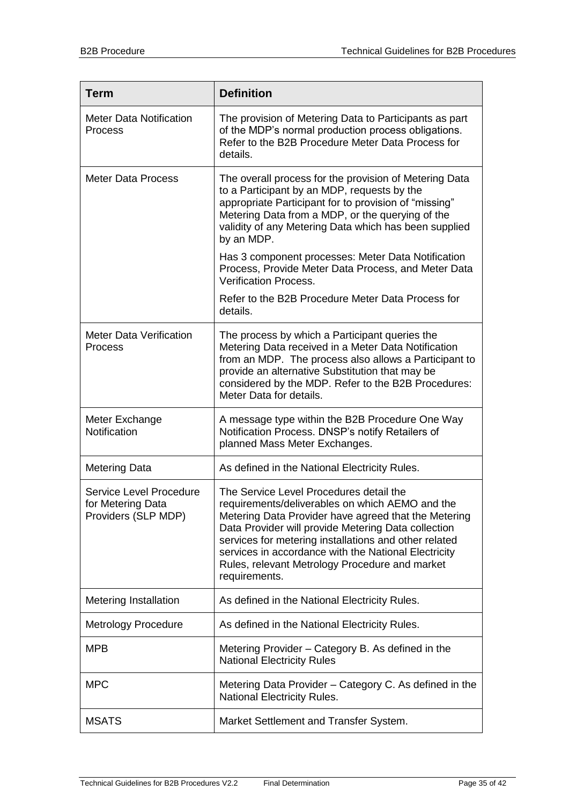| <b>Term</b>                                                         | <b>Definition</b>                                                                                                                                                                                                                                                                                                                                                                             |
|---------------------------------------------------------------------|-----------------------------------------------------------------------------------------------------------------------------------------------------------------------------------------------------------------------------------------------------------------------------------------------------------------------------------------------------------------------------------------------|
| <b>Meter Data Notification</b><br>Process                           | The provision of Metering Data to Participants as part<br>of the MDP's normal production process obligations.<br>Refer to the B2B Procedure Meter Data Process for<br>details.                                                                                                                                                                                                                |
| <b>Meter Data Process</b>                                           | The overall process for the provision of Metering Data<br>to a Participant by an MDP, requests by the<br>appropriate Participant for to provision of "missing"<br>Metering Data from a MDP, or the querying of the<br>validity of any Metering Data which has been supplied<br>by an MDP.                                                                                                     |
|                                                                     | Has 3 component processes: Meter Data Notification<br>Process, Provide Meter Data Process, and Meter Data<br><b>Verification Process.</b>                                                                                                                                                                                                                                                     |
|                                                                     | Refer to the B2B Procedure Meter Data Process for<br>details.                                                                                                                                                                                                                                                                                                                                 |
| <b>Meter Data Verification</b><br>Process                           | The process by which a Participant queries the<br>Metering Data received in a Meter Data Notification<br>from an MDP. The process also allows a Participant to<br>provide an alternative Substitution that may be<br>considered by the MDP. Refer to the B2B Procedures:<br>Meter Data for details.                                                                                           |
| Meter Exchange<br>Notification                                      | A message type within the B2B Procedure One Way<br>Notification Process. DNSP's notify Retailers of<br>planned Mass Meter Exchanges.                                                                                                                                                                                                                                                          |
| <b>Metering Data</b>                                                | As defined in the National Electricity Rules.                                                                                                                                                                                                                                                                                                                                                 |
| Service Level Procedure<br>for Metering Data<br>Providers (SLP MDP) | The Service Level Procedures detail the<br>requirements/deliverables on which AEMO and the<br>Metering Data Provider have agreed that the Metering<br>Data Provider will provide Metering Data collection<br>services for metering installations and other related<br>services in accordance with the National Electricity<br>Rules, relevant Metrology Procedure and market<br>requirements. |
| <b>Metering Installation</b>                                        | As defined in the National Electricity Rules.                                                                                                                                                                                                                                                                                                                                                 |
| <b>Metrology Procedure</b>                                          | As defined in the National Electricity Rules.                                                                                                                                                                                                                                                                                                                                                 |
| <b>MPB</b>                                                          | Metering Provider - Category B. As defined in the<br><b>National Electricity Rules</b>                                                                                                                                                                                                                                                                                                        |
| <b>MPC</b>                                                          | Metering Data Provider – Category C. As defined in the<br><b>National Electricity Rules.</b>                                                                                                                                                                                                                                                                                                  |
| <b>MSATS</b>                                                        | Market Settlement and Transfer System.                                                                                                                                                                                                                                                                                                                                                        |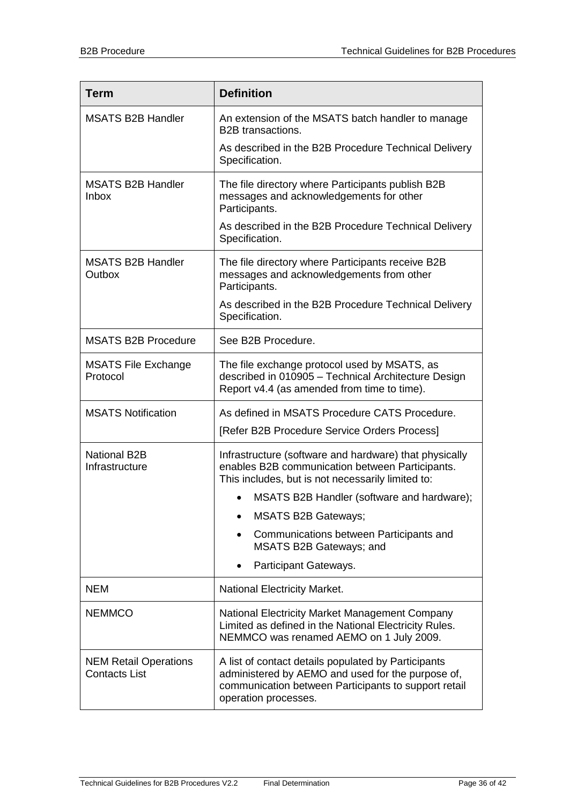| <b>Term</b>                                          | <b>Definition</b>                                                                                                                                                                        |
|------------------------------------------------------|------------------------------------------------------------------------------------------------------------------------------------------------------------------------------------------|
| <b>MSATS B2B Handler</b>                             | An extension of the MSATS batch handler to manage<br><b>B2B</b> transactions.<br>As described in the B2B Procedure Technical Delivery                                                    |
|                                                      | Specification.                                                                                                                                                                           |
| <b>MSATS B2B Handler</b><br><b>Inbox</b>             | The file directory where Participants publish B2B<br>messages and acknowledgements for other<br>Participants.                                                                            |
|                                                      | As described in the B2B Procedure Technical Delivery<br>Specification.                                                                                                                   |
| <b>MSATS B2B Handler</b><br>Outbox                   | The file directory where Participants receive B2B<br>messages and acknowledgements from other<br>Participants.                                                                           |
|                                                      | As described in the B2B Procedure Technical Delivery<br>Specification.                                                                                                                   |
| <b>MSATS B2B Procedure</b>                           | See B2B Procedure.                                                                                                                                                                       |
| <b>MSATS File Exchange</b><br>Protocol               | The file exchange protocol used by MSATS, as<br>described in 010905 - Technical Architecture Design<br>Report v4.4 (as amended from time to time).                                       |
| <b>MSATS Notification</b>                            | As defined in MSATS Procedure CATS Procedure.                                                                                                                                            |
|                                                      | [Refer B2B Procedure Service Orders Process]                                                                                                                                             |
| <b>National B2B</b><br>Infrastructure                | Infrastructure (software and hardware) that physically<br>enables B2B communication between Participants.<br>This includes, but is not necessarily limited to:                           |
|                                                      | MSATS B2B Handler (software and hardware);                                                                                                                                               |
|                                                      | <b>MSATS B2B Gateways;</b>                                                                                                                                                               |
|                                                      | Communications between Participants and<br><b>MSATS B2B Gateways; and</b>                                                                                                                |
|                                                      | Participant Gateways.                                                                                                                                                                    |
| <b>NEM</b>                                           | <b>National Electricity Market.</b>                                                                                                                                                      |
| <b>NEMMCO</b>                                        | National Electricity Market Management Company<br>Limited as defined in the National Electricity Rules.<br>NEMMCO was renamed AEMO on 1 July 2009.                                       |
| <b>NEM Retail Operations</b><br><b>Contacts List</b> | A list of contact details populated by Participants<br>administered by AEMO and used for the purpose of,<br>communication between Participants to support retail<br>operation processes. |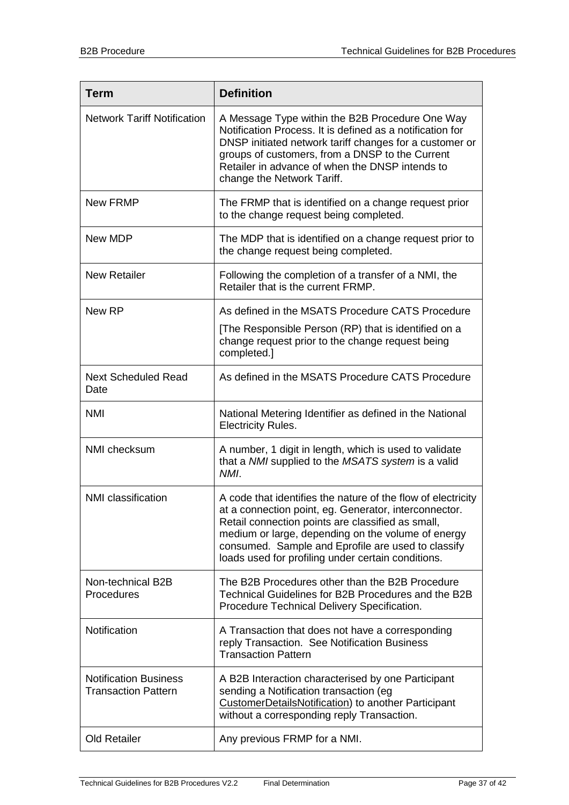| Term                                                       | <b>Definition</b>                                                                                                                                                                                                                                                                                                                            |
|------------------------------------------------------------|----------------------------------------------------------------------------------------------------------------------------------------------------------------------------------------------------------------------------------------------------------------------------------------------------------------------------------------------|
| <b>Network Tariff Notification</b>                         | A Message Type within the B2B Procedure One Way<br>Notification Process. It is defined as a notification for<br>DNSP initiated network tariff changes for a customer or<br>groups of customers, from a DNSP to the Current<br>Retailer in advance of when the DNSP intends to<br>change the Network Tariff.                                  |
| <b>New FRMP</b>                                            | The FRMP that is identified on a change request prior<br>to the change request being completed.                                                                                                                                                                                                                                              |
| New MDP                                                    | The MDP that is identified on a change request prior to<br>the change request being completed.                                                                                                                                                                                                                                               |
| <b>New Retailer</b>                                        | Following the completion of a transfer of a NMI, the<br>Retailer that is the current FRMP.                                                                                                                                                                                                                                                   |
| New RP                                                     | As defined in the MSATS Procedure CATS Procedure                                                                                                                                                                                                                                                                                             |
|                                                            | [The Responsible Person (RP) that is identified on a<br>change request prior to the change request being<br>completed.]                                                                                                                                                                                                                      |
| <b>Next Scheduled Read</b><br>Date                         | As defined in the MSATS Procedure CATS Procedure                                                                                                                                                                                                                                                                                             |
| <b>NMI</b>                                                 | National Metering Identifier as defined in the National<br><b>Electricity Rules.</b>                                                                                                                                                                                                                                                         |
| NMI checksum                                               | A number, 1 digit in length, which is used to validate<br>that a NMI supplied to the MSATS system is a valid<br>NMI.                                                                                                                                                                                                                         |
| NMI classification                                         | A code that identifies the nature of the flow of electricity<br>at a connection point, eg. Generator, interconnector.<br>Retail connection points are classified as small,<br>medium or large, depending on the volume of energy<br>consumed. Sample and Eprofile are used to classify<br>loads used for profiling under certain conditions. |
| Non-technical B2B<br>Procedures                            | The B2B Procedures other than the B2B Procedure<br>Technical Guidelines for B2B Procedures and the B2B<br>Procedure Technical Delivery Specification.                                                                                                                                                                                        |
| Notification                                               | A Transaction that does not have a corresponding<br>reply Transaction. See Notification Business<br><b>Transaction Pattern</b>                                                                                                                                                                                                               |
| <b>Notification Business</b><br><b>Transaction Pattern</b> | A B2B Interaction characterised by one Participant<br>sending a Notification transaction (eg<br>CustomerDetailsNotification) to another Participant<br>without a corresponding reply Transaction.                                                                                                                                            |
| <b>Old Retailer</b>                                        | Any previous FRMP for a NMI.                                                                                                                                                                                                                                                                                                                 |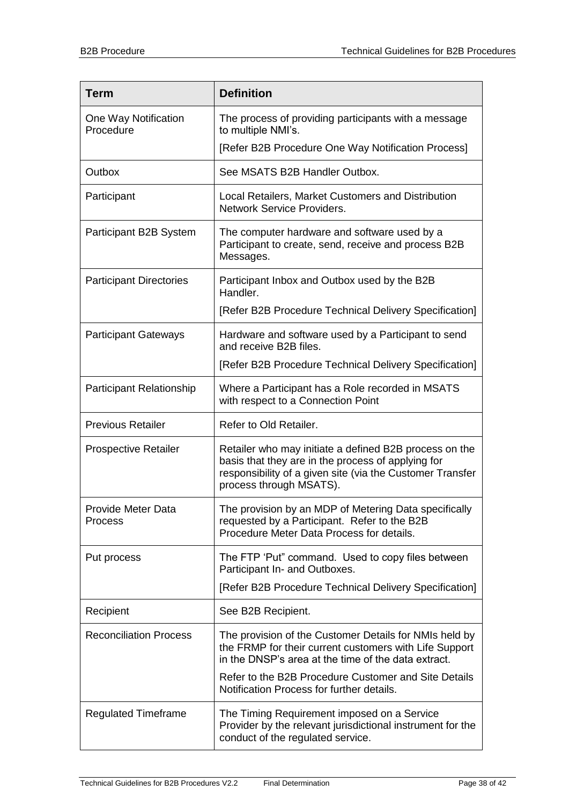| <b>Term</b>                       | <b>Definition</b>                                                                                                                                                                                    |
|-----------------------------------|------------------------------------------------------------------------------------------------------------------------------------------------------------------------------------------------------|
| One Way Notification<br>Procedure | The process of providing participants with a message<br>to multiple NMI's.                                                                                                                           |
|                                   | [Refer B2B Procedure One Way Notification Process]                                                                                                                                                   |
| Outbox                            | See MSATS B2B Handler Outbox.                                                                                                                                                                        |
| Participant                       | Local Retailers, Market Customers and Distribution<br>Network Service Providers.                                                                                                                     |
| Participant B2B System            | The computer hardware and software used by a<br>Participant to create, send, receive and process B2B<br>Messages.                                                                                    |
| <b>Participant Directories</b>    | Participant Inbox and Outbox used by the B2B<br>Handler.                                                                                                                                             |
|                                   | [Refer B2B Procedure Technical Delivery Specification]                                                                                                                                               |
| <b>Participant Gateways</b>       | Hardware and software used by a Participant to send<br>and receive B2B files.                                                                                                                        |
|                                   | [Refer B2B Procedure Technical Delivery Specification]                                                                                                                                               |
| <b>Participant Relationship</b>   | Where a Participant has a Role recorded in MSATS<br>with respect to a Connection Point                                                                                                               |
| <b>Previous Retailer</b>          | Refer to Old Retailer.                                                                                                                                                                               |
| <b>Prospective Retailer</b>       | Retailer who may initiate a defined B2B process on the<br>basis that they are in the process of applying for<br>responsibility of a given site (via the Customer Transfer<br>process through MSATS). |
| Provide Meter Data<br>Process     | The provision by an MDP of Metering Data specifically<br>requested by a Participant. Refer to the B2B<br>Procedure Meter Data Process for details.                                                   |
| Put process                       | The FTP 'Put" command. Used to copy files between<br>Participant In- and Outboxes.                                                                                                                   |
|                                   | [Refer B2B Procedure Technical Delivery Specification]                                                                                                                                               |
| Recipient                         | See B2B Recipient.                                                                                                                                                                                   |
| <b>Reconciliation Process</b>     | The provision of the Customer Details for NMIs held by<br>the FRMP for their current customers with Life Support<br>in the DNSP's area at the time of the data extract.                              |
|                                   | Refer to the B2B Procedure Customer and Site Details<br>Notification Process for further details.                                                                                                    |
| <b>Regulated Timeframe</b>        | The Timing Requirement imposed on a Service<br>Provider by the relevant jurisdictional instrument for the<br>conduct of the regulated service.                                                       |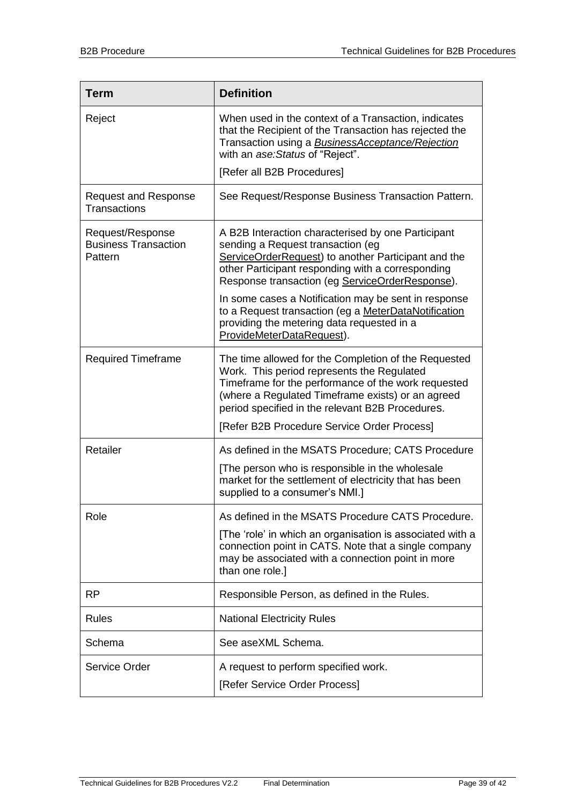| <b>Term</b>                                                | <b>Definition</b>                                                                                                                                                                                                                                                  |
|------------------------------------------------------------|--------------------------------------------------------------------------------------------------------------------------------------------------------------------------------------------------------------------------------------------------------------------|
| Reject                                                     | When used in the context of a Transaction, indicates<br>that the Recipient of the Transaction has rejected the<br>Transaction using a <b>BusinessAcceptance/Rejection</b><br>with an ase: Status of "Reject".                                                      |
|                                                            | [Refer all B2B Procedures]                                                                                                                                                                                                                                         |
| <b>Request and Response</b><br><b>Transactions</b>         | See Request/Response Business Transaction Pattern.                                                                                                                                                                                                                 |
| Request/Response<br><b>Business Transaction</b><br>Pattern | A B2B Interaction characterised by one Participant<br>sending a Request transaction (eg<br>ServiceOrderRequest) to another Participant and the<br>other Participant responding with a corresponding<br>Response transaction (eg ServiceOrderResponse).             |
|                                                            | In some cases a Notification may be sent in response<br>to a Request transaction (eg a MeterDataNotification<br>providing the metering data requested in a<br>ProvideMeterDataRequest).                                                                            |
| <b>Required Timeframe</b>                                  | The time allowed for the Completion of the Requested<br>Work. This period represents the Regulated<br>Timeframe for the performance of the work requested<br>(where a Regulated Timeframe exists) or an agreed<br>period specified in the relevant B2B Procedures. |
|                                                            | [Refer B2B Procedure Service Order Process]                                                                                                                                                                                                                        |
| Retailer                                                   | As defined in the MSATS Procedure; CATS Procedure                                                                                                                                                                                                                  |
|                                                            | [The person who is responsible in the wholesale<br>market for the settlement of electricity that has been<br>supplied to a consumer's NMI.]                                                                                                                        |
| Role                                                       | As defined in the MSATS Procedure CATS Procedure.                                                                                                                                                                                                                  |
|                                                            | [The 'role' in which an organisation is associated with a<br>connection point in CATS. Note that a single company<br>may be associated with a connection point in more<br>than one role.]                                                                          |
| <b>RP</b>                                                  | Responsible Person, as defined in the Rules.                                                                                                                                                                                                                       |
| Rules                                                      | <b>National Electricity Rules</b>                                                                                                                                                                                                                                  |
| Schema                                                     | See aseXML Schema.                                                                                                                                                                                                                                                 |
| Service Order                                              | A request to perform specified work.<br>[Refer Service Order Process]                                                                                                                                                                                              |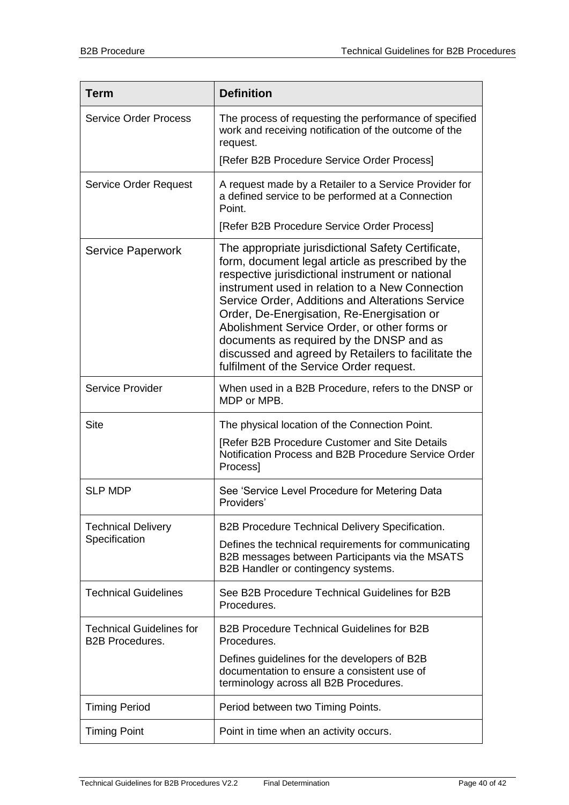| <b>Term</b>                                               | <b>Definition</b>                                                                                                                                                                                                                                                                                                                                                                                                                                                                                               |
|-----------------------------------------------------------|-----------------------------------------------------------------------------------------------------------------------------------------------------------------------------------------------------------------------------------------------------------------------------------------------------------------------------------------------------------------------------------------------------------------------------------------------------------------------------------------------------------------|
| <b>Service Order Process</b>                              | The process of requesting the performance of specified<br>work and receiving notification of the outcome of the<br>request.                                                                                                                                                                                                                                                                                                                                                                                     |
|                                                           | [Refer B2B Procedure Service Order Process]                                                                                                                                                                                                                                                                                                                                                                                                                                                                     |
| <b>Service Order Request</b>                              | A request made by a Retailer to a Service Provider for<br>a defined service to be performed at a Connection<br>Point.                                                                                                                                                                                                                                                                                                                                                                                           |
|                                                           | [Refer B2B Procedure Service Order Process]                                                                                                                                                                                                                                                                                                                                                                                                                                                                     |
| <b>Service Paperwork</b>                                  | The appropriate jurisdictional Safety Certificate,<br>form, document legal article as prescribed by the<br>respective jurisdictional instrument or national<br>instrument used in relation to a New Connection<br>Service Order, Additions and Alterations Service<br>Order, De-Energisation, Re-Energisation or<br>Abolishment Service Order, or other forms or<br>documents as required by the DNSP and as<br>discussed and agreed by Retailers to facilitate the<br>fulfilment of the Service Order request. |
| <b>Service Provider</b>                                   | When used in a B2B Procedure, refers to the DNSP or<br>MDP or MPB.                                                                                                                                                                                                                                                                                                                                                                                                                                              |
| <b>Site</b>                                               | The physical location of the Connection Point.                                                                                                                                                                                                                                                                                                                                                                                                                                                                  |
|                                                           | [Refer B2B Procedure Customer and Site Details<br>Notification Process and B2B Procedure Service Order<br>Process]                                                                                                                                                                                                                                                                                                                                                                                              |
| <b>SLP MDP</b>                                            | See 'Service Level Procedure for Metering Data<br>Providers'                                                                                                                                                                                                                                                                                                                                                                                                                                                    |
| <b>Technical Delivery</b><br>Specification                | B2B Procedure Technical Delivery Specification.                                                                                                                                                                                                                                                                                                                                                                                                                                                                 |
|                                                           | Defines the technical requirements for communicating<br>B2B messages between Participants via the MSATS<br>B2B Handler or contingency systems.                                                                                                                                                                                                                                                                                                                                                                  |
| <b>Technical Guidelines</b>                               | See B2B Procedure Technical Guidelines for B2B<br>Procedures.                                                                                                                                                                                                                                                                                                                                                                                                                                                   |
| <b>Technical Guidelines for</b><br><b>B2B Procedures.</b> | <b>B2B Procedure Technical Guidelines for B2B</b><br>Procedures.                                                                                                                                                                                                                                                                                                                                                                                                                                                |
|                                                           | Defines guidelines for the developers of B2B<br>documentation to ensure a consistent use of<br>terminology across all B2B Procedures.                                                                                                                                                                                                                                                                                                                                                                           |
| <b>Timing Period</b>                                      | Period between two Timing Points.                                                                                                                                                                                                                                                                                                                                                                                                                                                                               |
| <b>Timing Point</b>                                       | Point in time when an activity occurs.                                                                                                                                                                                                                                                                                                                                                                                                                                                                          |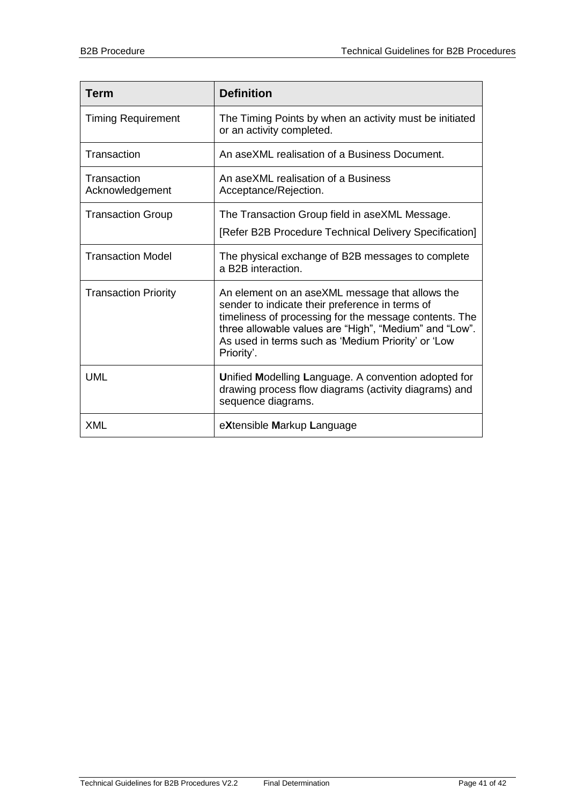| <b>Term</b>                    | <b>Definition</b>                                                                                                                                                                                                                                                                          |
|--------------------------------|--------------------------------------------------------------------------------------------------------------------------------------------------------------------------------------------------------------------------------------------------------------------------------------------|
| <b>Timing Requirement</b>      | The Timing Points by when an activity must be initiated<br>or an activity completed.                                                                                                                                                                                                       |
| Transaction                    | An aseXML realisation of a Business Document.                                                                                                                                                                                                                                              |
| Transaction<br>Acknowledgement | An aseXML realisation of a Business<br>Acceptance/Rejection.                                                                                                                                                                                                                               |
| <b>Transaction Group</b>       | The Transaction Group field in aseXML Message.                                                                                                                                                                                                                                             |
|                                | [Refer B2B Procedure Technical Delivery Specification]                                                                                                                                                                                                                                     |
| <b>Transaction Model</b>       | The physical exchange of B2B messages to complete<br>a B2B interaction.                                                                                                                                                                                                                    |
| <b>Transaction Priority</b>    | An element on an aseXML message that allows the<br>sender to indicate their preference in terms of<br>timeliness of processing for the message contents. The<br>three allowable values are "High", "Medium" and "Low".<br>As used in terms such as 'Medium Priority' or 'Low<br>Priority'. |
| <b>UML</b>                     | Unified Modelling Language. A convention adopted for<br>drawing process flow diagrams (activity diagrams) and<br>sequence diagrams.                                                                                                                                                        |
| <b>XML</b>                     | eXtensible Markup Language                                                                                                                                                                                                                                                                 |